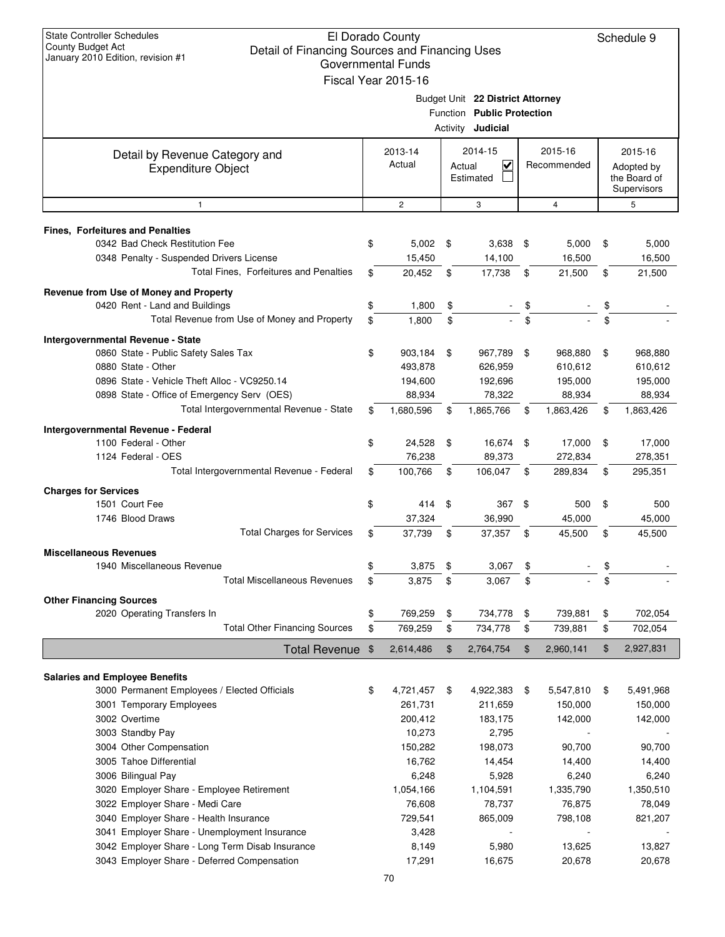| <b>State Controller Schedules</b><br>County Budget Act<br>Detail of Financing Sources and Financing Uses<br>January 2010 Edition, revision #1 |          | El Dorado County<br><b>Governmental Funds</b><br>Fiscal Year 2015-16 |        |                                                                                            |          |                               |          | Schedule 9                                           |
|-----------------------------------------------------------------------------------------------------------------------------------------------|----------|----------------------------------------------------------------------|--------|--------------------------------------------------------------------------------------------|----------|-------------------------------|----------|------------------------------------------------------|
|                                                                                                                                               |          |                                                                      |        | Budget Unit 22 District Attorney<br>Function Public Protection<br>Activity <b>Judicial</b> |          |                               |          |                                                      |
| Detail by Revenue Category and<br><b>Expenditure Object</b>                                                                                   |          | 2013-14<br>Actual                                                    | Actual | 2014-15<br>V<br>Estimated                                                                  |          | 2015-16<br>Recommended        |          | 2015-16<br>Adopted by<br>the Board of<br>Supervisors |
| 1                                                                                                                                             |          | $\overline{c}$                                                       |        | 3                                                                                          |          | $\overline{4}$                |          | 5                                                    |
| <b>Fines, Forfeitures and Penalties</b>                                                                                                       |          |                                                                      |        |                                                                                            |          |                               |          |                                                      |
| 0342 Bad Check Restitution Fee<br>0348 Penalty - Suspended Drivers License<br>Total Fines, Forfeitures and Penalties                          | \$<br>\$ | $5,002$ \$<br>15,450<br>20,452                                       | \$     | 3,638<br>14,100<br>17,738                                                                  | \$<br>\$ | 5,000<br>16,500<br>21,500     | \$<br>\$ | 5,000<br>16,500<br>21,500                            |
| Revenue from Use of Money and Property<br>0420 Rent - Land and Buildings                                                                      | \$       | 1,800                                                                | \$     |                                                                                            | \$       |                               | \$       |                                                      |
| Total Revenue from Use of Money and Property                                                                                                  | \$       | 1,800                                                                | \$     |                                                                                            | \$       |                               | \$       |                                                      |
| Intergovernmental Revenue - State                                                                                                             |          |                                                                      |        |                                                                                            |          |                               |          |                                                      |
| 0860 State - Public Safety Sales Tax<br>0880 State - Other<br>0896 State - Vehicle Theft Alloc - VC9250.14                                    | \$       | 903,184<br>493,878<br>194,600                                        | \$     | 967,789<br>626,959<br>192,696                                                              | \$       | 968,880<br>610,612<br>195,000 | \$       | 968,880<br>610,612<br>195,000                        |
| 0898 State - Office of Emergency Serv (OES)<br>Total Intergovernmental Revenue - State                                                        | \$       | 88,934<br>1,680,596                                                  | \$     | 78,322<br>1,865,766                                                                        | \$       | 88,934<br>1,863,426           | \$       | 88,934<br>1,863,426                                  |
|                                                                                                                                               |          |                                                                      |        |                                                                                            |          |                               |          |                                                      |
| Intergovernmental Revenue - Federal<br>1100 Federal - Other<br>1124 Federal - OES                                                             | \$       | 24,528<br>76,238                                                     | \$     | 16,674<br>89,373                                                                           | \$       | 17,000<br>272,834             | \$       | 17,000<br>278,351                                    |
| Total Intergovernmental Revenue - Federal                                                                                                     | \$       | 100,766                                                              | \$     | 106,047                                                                                    | \$       | 289,834                       | \$       | 295,351                                              |
| <b>Charges for Services</b><br>1501 Court Fee                                                                                                 | \$       | 414                                                                  | \$     | 367                                                                                        | \$       | 500                           | \$       | 500                                                  |
| 1746 Blood Draws                                                                                                                              |          | 37,324                                                               |        | 36,990                                                                                     |          | 45,000                        |          | 45,000                                               |
| <b>Total Charges for Services</b>                                                                                                             | \$.      | 37,739                                                               | \$     | 37,357                                                                                     | \$       | 45,500                        | \$       | 45,500                                               |
| <b>Miscellaneous Revenues</b><br>1940 Miscellaneous Revenue                                                                                   | \$       | 3,875                                                                | \$     | 3,067                                                                                      | \$       |                               | \$       |                                                      |
| <b>Total Miscellaneous Revenues</b>                                                                                                           | \$       | 3,875                                                                | \$     | 3,067                                                                                      | \$       |                               | \$       |                                                      |
| <b>Other Financing Sources</b>                                                                                                                |          |                                                                      |        |                                                                                            |          |                               |          |                                                      |
| 2020 Operating Transfers In                                                                                                                   | \$       | 769,259                                                              | \$     | 734,778                                                                                    | \$       | 739,881                       | \$       | 702,054                                              |
| <b>Total Other Financing Sources</b>                                                                                                          | \$       | 769,259                                                              | \$     | 734,778                                                                                    | \$       | 739,881                       | \$       | 702,054                                              |
| <b>Total Revenue</b>                                                                                                                          | \$       | 2,614,486                                                            | \$     | 2,764,754                                                                                  | \$       | 2,960,141                     | \$       | 2,927,831                                            |
| <b>Salaries and Employee Benefits</b>                                                                                                         |          |                                                                      |        |                                                                                            |          |                               |          |                                                      |
| 3000 Permanent Employees / Elected Officials<br>3001 Temporary Employees                                                                      | \$       | 4,721,457<br>261,731                                                 | \$     | 4,922,383<br>211,659                                                                       | \$       | 5,547,810<br>150,000          | \$       | 5,491,968<br>150,000                                 |
| 3002 Overtime<br>3003 Standby Pay                                                                                                             |          | 200,412<br>10,273                                                    |        | 183,175<br>2,795                                                                           |          | 142,000                       |          | 142,000                                              |
| 3004 Other Compensation                                                                                                                       |          | 150,282                                                              |        | 198,073                                                                                    |          | 90,700                        |          | 90,700                                               |
| 3005 Tahoe Differential                                                                                                                       |          | 16,762                                                               |        | 14,454                                                                                     |          | 14,400                        |          | 14,400                                               |
| 3006 Bilingual Pay                                                                                                                            |          | 6,248                                                                |        | 5,928                                                                                      |          | 6,240                         |          | 6,240                                                |
| 3020 Employer Share - Employee Retirement                                                                                                     |          | 1,054,166                                                            |        | 1,104,591                                                                                  |          | 1,335,790                     |          | 1,350,510                                            |
| 3022 Employer Share - Medi Care                                                                                                               |          | 76,608                                                               |        | 78,737                                                                                     |          | 76,875                        |          | 78,049                                               |
| 3040 Employer Share - Health Insurance                                                                                                        |          | 729,541                                                              |        | 865,009                                                                                    |          | 798,108                       |          | 821,207                                              |
| 3041 Employer Share - Unemployment Insurance                                                                                                  |          | 3,428                                                                |        |                                                                                            |          |                               |          |                                                      |
| 3042 Employer Share - Long Term Disab Insurance<br>3043 Employer Share - Deferred Compensation                                                |          | 8,149<br>17,291                                                      |        | 5,980<br>16,675                                                                            |          | 13,625<br>20,678              |          | 13,827<br>20,678                                     |
|                                                                                                                                               |          | 70                                                                   |        |                                                                                            |          |                               |          |                                                      |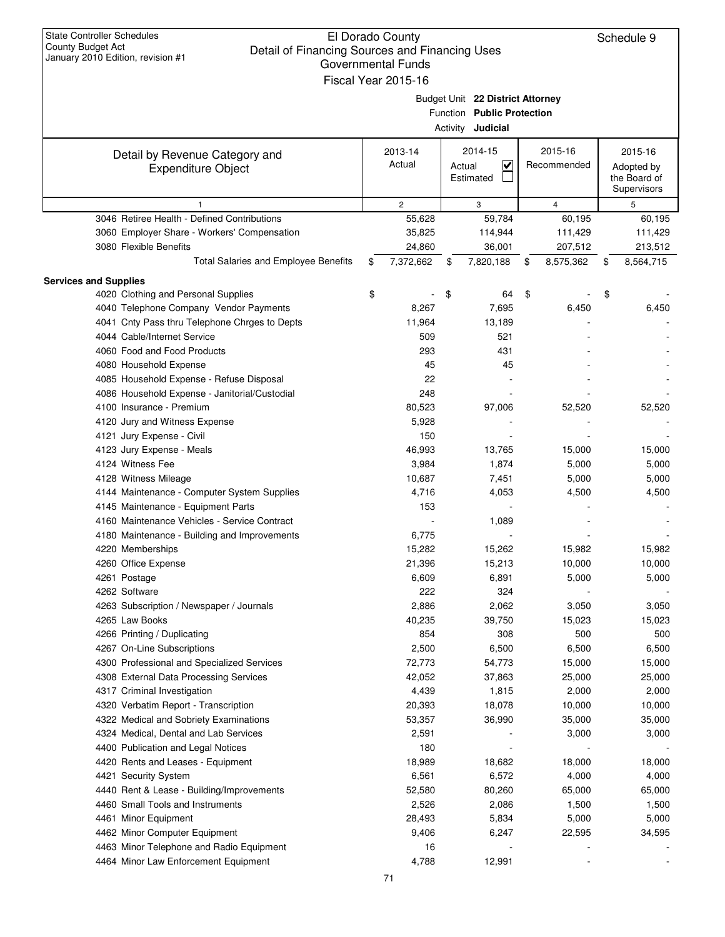| <b>State Controller Schedules</b><br>County Budget Act<br>Detail of Financing Sources and Financing Uses<br>January 2010 Edition, revision #1 | El Dorado County<br><b>Governmental Funds</b><br>Fiscal Year 2015-16 |                                                                                            |                        | Schedule 9                                           |
|-----------------------------------------------------------------------------------------------------------------------------------------------|----------------------------------------------------------------------|--------------------------------------------------------------------------------------------|------------------------|------------------------------------------------------|
|                                                                                                                                               |                                                                      | Budget Unit 22 District Attorney<br>Function Public Protection<br>Activity <b>Judicial</b> |                        |                                                      |
| Detail by Revenue Category and<br><b>Expenditure Object</b>                                                                                   | 2013-14<br>Actual                                                    | 2014-15<br>$\overline{\mathbf{v}}$<br>Actual<br>Estimated                                  | 2015-16<br>Recommended | 2015-16<br>Adopted by<br>the Board of<br>Supervisors |
| 1                                                                                                                                             | $\overline{c}$                                                       | 3                                                                                          | $\overline{4}$         | 5                                                    |
| 3046 Retiree Health - Defined Contributions                                                                                                   | 55,628                                                               | 59,784                                                                                     | 60,195                 | 60,195                                               |
| 3060 Employer Share - Workers' Compensation                                                                                                   | 35,825                                                               | 114,944                                                                                    | 111,429                | 111,429                                              |
| 3080 Flexible Benefits                                                                                                                        | 24,860                                                               | 36,001                                                                                     | 207,512                | 213,512                                              |
| Total Salaries and Employee Benefits                                                                                                          | 7,372,662<br>\$                                                      | 7,820,188<br>\$                                                                            | 8,575,362<br>\$        | 8,564,715<br>\$                                      |
| <b>Services and Supplies</b>                                                                                                                  |                                                                      |                                                                                            |                        |                                                      |
| 4020 Clothing and Personal Supplies                                                                                                           | \$                                                                   | \$<br>64                                                                                   | \$                     | \$                                                   |
| 4040 Telephone Company Vendor Payments                                                                                                        | 8,267                                                                | 7,695                                                                                      | 6,450                  | 6,450                                                |
| 4041 Cnty Pass thru Telephone Chrges to Depts                                                                                                 | 11,964                                                               | 13,189                                                                                     |                        |                                                      |
| 4044 Cable/Internet Service                                                                                                                   | 509                                                                  | 521                                                                                        |                        |                                                      |
| 4060 Food and Food Products                                                                                                                   | 293                                                                  | 431                                                                                        |                        |                                                      |
| 4080 Household Expense                                                                                                                        | 45                                                                   | 45                                                                                         |                        |                                                      |
| 4085 Household Expense - Refuse Disposal                                                                                                      | 22                                                                   |                                                                                            |                        |                                                      |
| 4086 Household Expense - Janitorial/Custodial                                                                                                 | 248                                                                  |                                                                                            |                        |                                                      |
| 4100 Insurance - Premium                                                                                                                      | 80,523                                                               | 97,006                                                                                     | 52,520                 | 52,520                                               |
| 4120 Jury and Witness Expense                                                                                                                 | 5,928                                                                |                                                                                            |                        |                                                      |
| 4121 Jury Expense - Civil                                                                                                                     | 150                                                                  |                                                                                            |                        |                                                      |
| 4123 Jury Expense - Meals                                                                                                                     | 46,993                                                               | 13,765                                                                                     | 15,000                 | 15,000                                               |
| 4124 Witness Fee                                                                                                                              | 3,984                                                                | 1,874                                                                                      | 5,000                  | 5,000                                                |
| 4128 Witness Mileage                                                                                                                          | 10,687                                                               | 7,451                                                                                      | 5,000                  | 5,000                                                |
| 4144 Maintenance - Computer System Supplies                                                                                                   | 4,716                                                                | 4,053                                                                                      | 4,500                  | 4,500                                                |
| 4145 Maintenance - Equipment Parts                                                                                                            | 153                                                                  |                                                                                            |                        |                                                      |
| 4160 Maintenance Vehicles - Service Contract                                                                                                  |                                                                      | 1,089                                                                                      |                        |                                                      |
| 4180 Maintenance - Building and Improvements                                                                                                  | 6,775                                                                |                                                                                            |                        |                                                      |
| 4220 Memberships                                                                                                                              | 15,282                                                               | 15,262                                                                                     | 15,982                 | 15,982                                               |
| 4260 Office Expense                                                                                                                           | 21,396                                                               | 15,213                                                                                     | 10,000                 | 10,000                                               |
| 4261 Postage                                                                                                                                  | 6,609                                                                | 6,891                                                                                      | 5,000                  | 5,000                                                |
| 4262 Software                                                                                                                                 | 222                                                                  | 324                                                                                        |                        |                                                      |
| 4263 Subscription / Newspaper / Journals                                                                                                      | 2,886                                                                | 2,062                                                                                      | 3,050                  | 3,050                                                |
| 4265 Law Books                                                                                                                                | 40,235                                                               | 39,750                                                                                     | 15,023                 | 15,023                                               |
| 4266 Printing / Duplicating                                                                                                                   | 854                                                                  | 308                                                                                        | 500                    | 500                                                  |
| 4267 On-Line Subscriptions                                                                                                                    | 2,500                                                                | 6,500                                                                                      | 6,500                  | 6,500                                                |
| 4300 Professional and Specialized Services                                                                                                    | 72,773                                                               | 54,773                                                                                     | 15,000                 | 15,000                                               |
| 4308 External Data Processing Services                                                                                                        | 42,052                                                               | 37,863                                                                                     | 25,000                 | 25,000                                               |
| 4317 Criminal Investigation                                                                                                                   | 4,439                                                                | 1,815                                                                                      | 2,000                  | 2,000                                                |
| 4320 Verbatim Report - Transcription                                                                                                          | 20,393                                                               | 18,078                                                                                     | 10,000                 | 10,000                                               |
| 4322 Medical and Sobriety Examinations                                                                                                        | 53,357                                                               | 36,990                                                                                     | 35,000                 | 35,000                                               |
| 4324 Medical, Dental and Lab Services                                                                                                         | 2,591                                                                |                                                                                            | 3,000                  | 3,000                                                |
| 4400 Publication and Legal Notices                                                                                                            | 180                                                                  |                                                                                            |                        |                                                      |
| 4420 Rents and Leases - Equipment                                                                                                             | 18,989                                                               | 18,682                                                                                     | 18,000                 | 18,000                                               |
| 4421 Security System                                                                                                                          | 6,561                                                                | 6,572                                                                                      | 4,000                  | 4,000                                                |
| 4440 Rent & Lease - Building/Improvements                                                                                                     | 52,580                                                               | 80,260                                                                                     | 65,000                 | 65,000                                               |
| 4460 Small Tools and Instruments                                                                                                              | 2,526                                                                | 2,086                                                                                      | 1,500                  | 1,500                                                |
| 4461 Minor Equipment                                                                                                                          | 28,493                                                               | 5,834                                                                                      | 5,000                  | 5,000                                                |
| 4462 Minor Computer Equipment                                                                                                                 | 9,406                                                                | 6,247                                                                                      | 22,595                 | 34,595                                               |
| 4463 Minor Telephone and Radio Equipment                                                                                                      | 16                                                                   |                                                                                            |                        |                                                      |
| 4464 Minor Law Enforcement Equipment                                                                                                          | 4,788                                                                | 12,991                                                                                     |                        |                                                      |
|                                                                                                                                               |                                                                      |                                                                                            |                        |                                                      |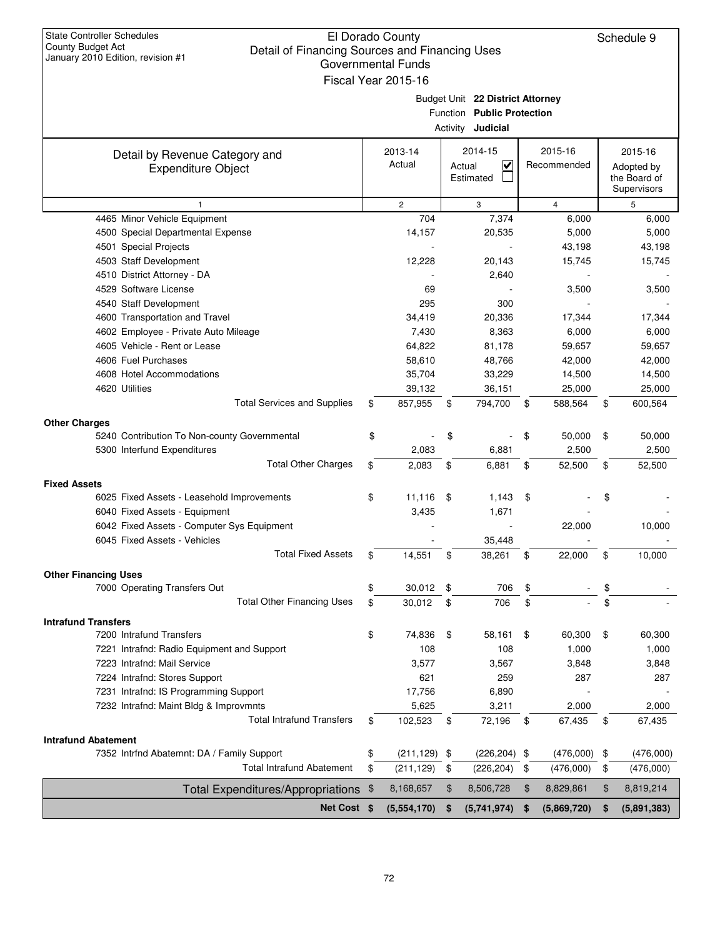| <b>State Controller Schedules</b>                                   |                           |      |                                   |                   |                             |
|---------------------------------------------------------------------|---------------------------|------|-----------------------------------|-------------------|-----------------------------|
| County Budget Act<br>Detail of Financing Sources and Financing Uses | El Dorado County          |      |                                   |                   | Schedule 9                  |
| January 2010 Edition, revision #1                                   | <b>Governmental Funds</b> |      |                                   |                   |                             |
|                                                                     | Fiscal Year 2015-16       |      |                                   |                   |                             |
|                                                                     |                           |      |                                   |                   |                             |
|                                                                     |                           |      | Budget Unit 22 District Attorney  |                   |                             |
|                                                                     |                           |      | Function Public Protection        |                   |                             |
|                                                                     |                           |      | Activity <b>Judicial</b>          |                   |                             |
| Detail by Revenue Category and                                      | 2013-14                   |      | 2014-15                           | 2015-16           | 2015-16                     |
| <b>Expenditure Object</b>                                           | Actual                    |      | $\overline{\mathbf{v}}$<br>Actual | Recommended       | Adopted by                  |
|                                                                     |                           |      | Estimated                         |                   | the Board of<br>Supervisors |
| $\mathbf{1}$                                                        | $\overline{c}$            |      | 3                                 | $\overline{4}$    | 5                           |
| 4465 Minor Vehicle Equipment                                        | 704                       |      | 7,374                             | 6,000             | 6,000                       |
| 4500 Special Departmental Expense                                   | 14,157                    |      | 20,535                            | 5,000             | 5,000                       |
| 4501 Special Projects                                               | $\overline{\phantom{a}}$  |      | $\sim$                            | 43,198            | 43,198                      |
| 4503 Staff Development                                              | 12,228                    |      | 20,143                            | 15,745            | 15.745                      |
| 4510 District Attorney - DA                                         |                           |      | 2,640                             |                   |                             |
| 4529 Software License                                               | 69                        |      |                                   | 3,500             | 3,500                       |
| 4540 Staff Development                                              | 295                       |      | 300                               |                   |                             |
| 4600 Transportation and Travel                                      | 34,419                    |      | 20,336                            | 17,344            | 17,344                      |
| 4602 Employee - Private Auto Mileage                                | 7,430                     |      | 8,363                             | 6,000             | 6,000                       |
| 4605 Vehicle - Rent or Lease                                        | 64.822                    |      | 81,178                            | 59,657            | 59,657                      |
| 4606 Fuel Purchases                                                 | 58,610                    |      | 48,766                            | 42,000            | 42,000                      |
| 4608 Hotel Accommodations                                           | 35,704                    |      | 33,229                            | 14,500            | 14,500                      |
| 4620 Utilities                                                      | 39,132                    |      | 36,151                            | 25,000            | 25,000                      |
| <b>Total Services and Supplies</b>                                  | \$<br>857,955             | \$   | 794,700                           | \$<br>588,564     | \$<br>600,564               |
| <b>Other Charges</b>                                                |                           |      |                                   |                   |                             |
| 5240 Contribution To Non-county Governmental                        | \$                        | \$   |                                   | \$<br>50,000      | \$<br>50,000                |
| 5300 Interfund Expenditures                                         | 2,083                     |      | 6,881                             | 2,500             | 2,500                       |
| <b>Total Other Charges</b>                                          | \$<br>2,083               | \$   | 6,881                             | \$<br>52,500      | \$<br>52,500                |
| <b>Fixed Assets</b>                                                 |                           |      |                                   |                   |                             |
| 6025 Fixed Assets - Leasehold Improvements                          | \$<br>11,116              | - \$ | 1,143                             | \$                | \$                          |
| 6040 Fixed Assets - Equipment                                       | 3,435                     |      | 1,671                             |                   |                             |
| 6042 Fixed Assets - Computer Sys Equipment                          |                           |      |                                   | 22,000            | 10,000                      |
| 6045 Fixed Assets - Vehicles                                        |                           |      | 35,448                            |                   |                             |
| <b>Total Fixed Assets</b>                                           | \$<br>14,551              | \$   | 38,261                            | \$<br>22,000      | \$<br>10,000                |
| <b>Other Financing Uses</b>                                         |                           |      |                                   |                   |                             |
| 7000 Operating Transfers Out                                        | \$<br>30,012              | \$   | 706                               | \$                | \$                          |
| <b>Total Other Financing Uses</b>                                   | \$<br>30,012              | \$   | 706                               | \$                | \$                          |
| <b>Intrafund Transfers</b>                                          |                           |      |                                   |                   |                             |
| 7200 Intrafund Transfers                                            | \$<br>74,836              | \$   | 58,161                            | \$<br>60,300      | \$<br>60,300                |
| 7221 Intrafnd: Radio Equipment and Support                          | 108                       |      | 108                               | 1,000             | 1,000                       |
| 7223 Intrafnd: Mail Service                                         | 3,577                     |      | 3,567                             | 3,848             | 3,848                       |
| 7224 Intrafnd: Stores Support                                       | 621                       |      | 259                               | 287               | 287                         |
| 7231 Intrafnd: IS Programming Support                               | 17,756                    |      | 6,890                             |                   |                             |
| 7232 Intrafnd: Maint Bldg & Improvmnts                              | 5,625                     |      | 3,211                             | 2,000             | 2,000                       |
| <b>Total Intrafund Transfers</b>                                    | \$<br>102,523             | \$   | 72,196                            | \$<br>67,435      | \$<br>67,435                |
| <b>Intrafund Abatement</b>                                          |                           |      |                                   |                   |                             |
| 7352 Intrfnd Abatemnt: DA / Family Support                          | \$<br>$(211, 129)$ \$     |      | $(226, 204)$ \$                   | $(476,000)$ \$    | (476,000)                   |
| <b>Total Intrafund Abatement</b>                                    | \$<br>(211, 129)          | \$   | (226, 204)                        | \$<br>(476,000)   | \$<br>(476,000)             |
| <b>Total Expenditures/Appropriations</b>                            | \$<br>8,168,657           | \$   | 8,506,728                         | \$<br>8,829,861   | \$<br>8,819,214             |
| Net Cost \$                                                         | (5,554,170)               | \$   | (5,741,974)                       | \$<br>(5,869,720) | \$<br>(5,891,383)           |
|                                                                     |                           |      |                                   |                   |                             |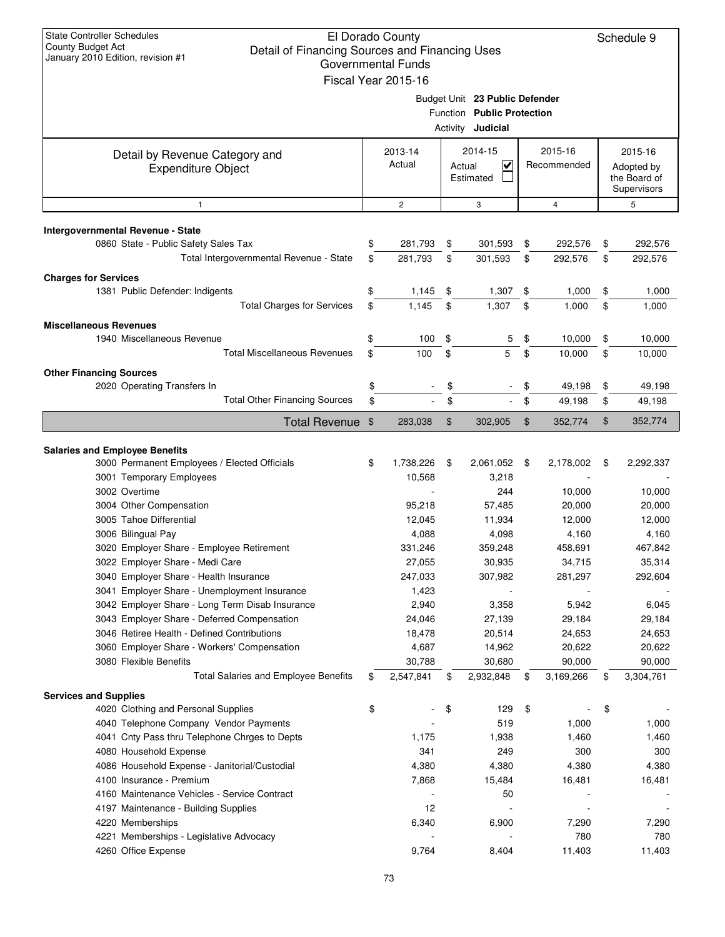| <b>State Controller Schedules</b><br><b>County Budget Act</b><br>Detail of Financing Sources and Financing Uses<br>January 2010 Edition, revision #1 | El Dorado County<br><b>Governmental Funds</b><br>Fiscal Year 2015-16 |        |                                                                                          |                        | Schedule 9                                           |
|------------------------------------------------------------------------------------------------------------------------------------------------------|----------------------------------------------------------------------|--------|------------------------------------------------------------------------------------------|------------------------|------------------------------------------------------|
|                                                                                                                                                      |                                                                      |        | Budget Unit 23 Public Defender<br>Function Public Protection<br>Activity <b>Judicial</b> |                        |                                                      |
| Detail by Revenue Category and<br><b>Expenditure Object</b>                                                                                          | 2013-14<br>Actual                                                    | Actual | 2014-15<br>$\checkmark$<br>Estimated                                                     | 2015-16<br>Recommended | 2015-16<br>Adopted by<br>the Board of<br>Supervisors |
| $\mathbf{1}$                                                                                                                                         | $\overline{2}$                                                       |        | 3                                                                                        | $\overline{4}$         | 5                                                    |
| Intergovernmental Revenue - State<br>0860 State - Public Safety Sales Tax                                                                            | \$<br>281,793                                                        | \$     | 301,593                                                                                  | \$<br>292,576          | \$<br>292,576                                        |
| Total Intergovernmental Revenue - State                                                                                                              | \$<br>281,793                                                        | \$     | 301,593                                                                                  | \$<br>292,576          | \$<br>292,576                                        |
|                                                                                                                                                      |                                                                      |        |                                                                                          |                        |                                                      |
| <b>Charges for Services</b><br>1381 Public Defender: Indigents                                                                                       | \$<br>1,145                                                          | \$     | 1,307                                                                                    | \$<br>1,000            | \$<br>1,000                                          |
| <b>Total Charges for Services</b>                                                                                                                    | \$<br>1,145                                                          | \$     | 1,307                                                                                    | \$<br>1,000            | \$<br>1,000                                          |
|                                                                                                                                                      |                                                                      |        |                                                                                          |                        |                                                      |
| <b>Miscellaneous Revenues</b><br>1940 Miscellaneous Revenue                                                                                          | \$<br>100                                                            | \$     | 5                                                                                        | \$<br>10,000           | \$<br>10,000                                         |
| <b>Total Miscellaneous Revenues</b>                                                                                                                  | \$<br>100                                                            | \$     | 5                                                                                        | \$<br>10,000           | \$<br>10,000                                         |
| <b>Other Financing Sources</b>                                                                                                                       |                                                                      |        |                                                                                          |                        |                                                      |
| 2020 Operating Transfers In                                                                                                                          | \$                                                                   | \$     |                                                                                          | \$<br>49,198           | \$<br>49,198                                         |
| <b>Total Other Financing Sources</b>                                                                                                                 | \$                                                                   | \$     |                                                                                          | \$<br>49,198           | \$<br>49,198                                         |
| <b>Total Revenue</b>                                                                                                                                 | \$<br>283,038                                                        | \$     | 302,905                                                                                  | \$<br>352,774          | \$<br>352,774                                        |
|                                                                                                                                                      |                                                                      |        |                                                                                          |                        |                                                      |
| <b>Salaries and Employee Benefits</b>                                                                                                                |                                                                      |        |                                                                                          |                        |                                                      |
| 3000 Permanent Employees / Elected Officials<br>3001 Temporary Employees                                                                             | \$<br>1,738,226<br>10,568                                            | \$     | 2,061,052<br>3,218                                                                       | \$<br>2,178,002        | \$<br>2,292,337                                      |
| 3002 Overtime                                                                                                                                        |                                                                      |        | 244                                                                                      | 10,000                 | 10,000                                               |
| 3004 Other Compensation                                                                                                                              | 95,218                                                               |        | 57,485                                                                                   | 20,000                 | 20,000                                               |
| 3005 Tahoe Differential                                                                                                                              | 12,045                                                               |        | 11,934                                                                                   | 12,000                 | 12,000                                               |
| 3006 Bilingual Pay                                                                                                                                   | 4,088                                                                |        | 4,098                                                                                    | 4,160                  | 4,160                                                |
| 3020 Employer Share - Employee Retirement                                                                                                            | 331,246                                                              |        | 359,248                                                                                  | 458,691                | 467,842                                              |
| 3022 Employer Share - Medi Care                                                                                                                      | 27,055                                                               |        | 30,935                                                                                   | 34,715                 | 35,314                                               |
| 3040 Employer Share - Health Insurance                                                                                                               | 247,033                                                              |        | 307,982                                                                                  | 281,297                | 292,604                                              |
| 3041 Employer Share - Unemployment Insurance<br>3042 Employer Share - Long Term Disab Insurance                                                      | 1,423<br>2,940                                                       |        | 3,358                                                                                    | 5,942                  | 6,045                                                |
| 3043 Employer Share - Deferred Compensation                                                                                                          | 24,046                                                               |        | 27,139                                                                                   | 29,184                 | 29,184                                               |
| 3046 Retiree Health - Defined Contributions                                                                                                          | 18,478                                                               |        | 20,514                                                                                   | 24,653                 | 24,653                                               |
| 3060 Employer Share - Workers' Compensation                                                                                                          | 4,687                                                                |        | 14,962                                                                                   | 20,622                 | 20,622                                               |
| 3080 Flexible Benefits                                                                                                                               | 30,788                                                               |        | 30,680                                                                                   | 90,000                 | 90,000                                               |
| <b>Total Salaries and Employee Benefits</b>                                                                                                          | \$<br>2,547,841                                                      | \$     | 2,932,848                                                                                | \$<br>3,169,266        | \$<br>3,304,761                                      |
| <b>Services and Supplies</b>                                                                                                                         |                                                                      |        |                                                                                          |                        |                                                      |
| 4020 Clothing and Personal Supplies                                                                                                                  | \$                                                                   | \$     | 129                                                                                      | \$                     | \$                                                   |
| 4040 Telephone Company Vendor Payments                                                                                                               |                                                                      |        | 519                                                                                      | 1,000                  | 1,000                                                |
| 4041 Cnty Pass thru Telephone Chrges to Depts                                                                                                        | 1,175                                                                |        | 1,938                                                                                    | 1,460                  | 1,460                                                |
| 4080 Household Expense<br>4086 Household Expense - Janitorial/Custodial                                                                              | 341<br>4,380                                                         |        | 249<br>4,380                                                                             | 300<br>4,380           | 300<br>4,380                                         |
| 4100 Insurance - Premium                                                                                                                             | 7,868                                                                |        | 15,484                                                                                   | 16,481                 | 16,481                                               |
| 4160 Maintenance Vehicles - Service Contract                                                                                                         |                                                                      |        | 50                                                                                       |                        |                                                      |
| 4197 Maintenance - Building Supplies                                                                                                                 | 12                                                                   |        |                                                                                          |                        |                                                      |
| 4220 Memberships                                                                                                                                     | 6,340                                                                |        | 6,900                                                                                    | 7,290                  | 7,290                                                |
| 4221 Memberships - Legislative Advocacy                                                                                                              |                                                                      |        |                                                                                          | 780                    | 780                                                  |
| 4260 Office Expense                                                                                                                                  | 9,764                                                                |        | 8,404                                                                                    | 11,403                 | 11,403                                               |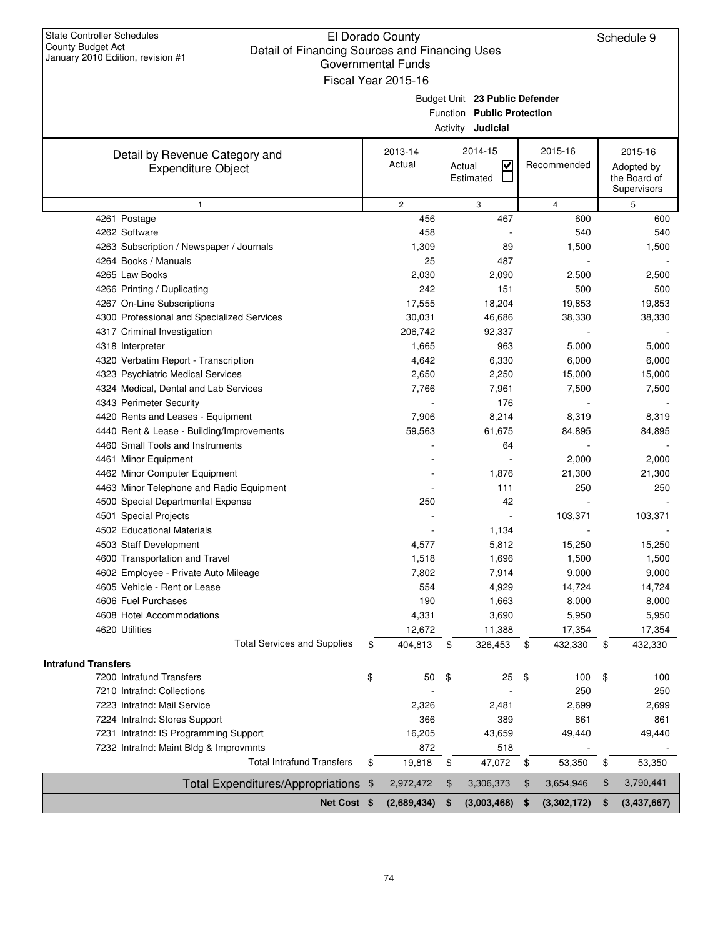| <b>State Controller Schedules</b><br>County Budget Act<br>Detail of Financing Sources and Financing Uses<br>January 2010 Edition, revision #1 | El Dorado County<br>Governmental Funds<br>Fiscal Year 2015-16 |                                                                                          |                        | Schedule 9                                           |
|-----------------------------------------------------------------------------------------------------------------------------------------------|---------------------------------------------------------------|------------------------------------------------------------------------------------------|------------------------|------------------------------------------------------|
|                                                                                                                                               |                                                               | Budget Unit 23 Public Defender<br>Function Public Protection<br>Activity <b>Judicial</b> |                        |                                                      |
| Detail by Revenue Category and<br><b>Expenditure Object</b>                                                                                   | 2013-14<br>Actual                                             | 2014-15<br>$\checkmark$<br>Actual<br>Estimated                                           | 2015-16<br>Recommended | 2015-16<br>Adopted by<br>the Board of<br>Supervisors |
| $\mathbf{1}$                                                                                                                                  | $\overline{2}$                                                | 3                                                                                        | $\overline{4}$         | 5                                                    |
| 4261 Postage                                                                                                                                  | 456                                                           | 467                                                                                      | 600                    | 600                                                  |
| 4262 Software                                                                                                                                 | 458                                                           |                                                                                          | 540                    | 540                                                  |
| 4263 Subscription / Newspaper / Journals                                                                                                      | 1,309                                                         | 89                                                                                       | 1,500                  | 1,500                                                |
| 4264 Books / Manuals                                                                                                                          | 25                                                            | 487                                                                                      |                        |                                                      |
| 4265 Law Books                                                                                                                                | 2,030                                                         | 2,090                                                                                    | 2,500                  | 2,500                                                |
| 4266 Printing / Duplicating                                                                                                                   | 242                                                           | 151                                                                                      | 500                    | 500                                                  |
| 4267 On-Line Subscriptions                                                                                                                    | 17,555                                                        | 18,204                                                                                   | 19,853                 | 19,853                                               |
| 4300 Professional and Specialized Services                                                                                                    | 30,031                                                        | 46,686                                                                                   | 38,330                 | 38,330                                               |
| 4317 Criminal Investigation                                                                                                                   | 206,742                                                       | 92,337                                                                                   |                        |                                                      |
| 4318 Interpreter                                                                                                                              | 1,665                                                         | 963                                                                                      | 5,000                  | 5,000                                                |
| 4320 Verbatim Report - Transcription                                                                                                          | 4,642                                                         | 6,330                                                                                    | 6,000                  | 6,000                                                |
| 4323 Psychiatric Medical Services                                                                                                             | 2,650                                                         | 2,250                                                                                    | 15,000                 | 15,000                                               |
| 4324 Medical, Dental and Lab Services                                                                                                         | 7,766                                                         | 7,961                                                                                    | 7,500                  | 7,500                                                |
| 4343 Perimeter Security                                                                                                                       |                                                               | 176                                                                                      |                        |                                                      |
| 4420 Rents and Leases - Equipment                                                                                                             | 7,906                                                         | 8,214                                                                                    | 8,319                  | 8,319                                                |
| 4440 Rent & Lease - Building/Improvements                                                                                                     | 59,563                                                        | 61,675                                                                                   | 84,895                 | 84,895                                               |
| 4460 Small Tools and Instruments                                                                                                              |                                                               | 64                                                                                       |                        |                                                      |
| 4461 Minor Equipment                                                                                                                          |                                                               |                                                                                          | 2,000                  | 2,000                                                |
| 4462 Minor Computer Equipment                                                                                                                 |                                                               | 1,876                                                                                    | 21,300                 | 21,300                                               |
| 4463 Minor Telephone and Radio Equipment                                                                                                      |                                                               | 111                                                                                      | 250                    | 250                                                  |
| 4500 Special Departmental Expense                                                                                                             | 250                                                           | 42                                                                                       |                        |                                                      |
| 4501 Special Projects                                                                                                                         |                                                               |                                                                                          | 103,371                | 103,371                                              |
| 4502 Educational Materials                                                                                                                    |                                                               | 1,134                                                                                    |                        |                                                      |
| 4503 Staff Development                                                                                                                        | 4,577                                                         | 5,812                                                                                    | 15,250                 | 15,250                                               |
| 4600 Transportation and Travel                                                                                                                | 1,518                                                         | 1,696                                                                                    | 1,500                  | 1,500                                                |
| 4602 Employee - Private Auto Mileage                                                                                                          | 7,802                                                         | 7,914                                                                                    | 9,000                  | 9,000                                                |
| 4605 Vehicle - Rent or Lease                                                                                                                  | 554                                                           | 4,929                                                                                    | 14,724                 | 14,724                                               |
| 4606 Fuel Purchases                                                                                                                           | 190                                                           | 1,663                                                                                    | 8,000                  | 8,000                                                |
| 4608 Hotel Accommodations                                                                                                                     | 4,331                                                         | 3,690                                                                                    | 5,950                  | 5,950                                                |
| 4620 Utilities                                                                                                                                | 12,672                                                        | 11,388                                                                                   | 17,354                 | 17,354                                               |
| <b>Total Services and Supplies</b>                                                                                                            | \$<br>404,813                                                 | \$<br>326,453                                                                            | \$<br>432,330          | \$<br>432,330                                        |
|                                                                                                                                               |                                                               |                                                                                          |                        |                                                      |
| <b>Intrafund Transfers</b>                                                                                                                    |                                                               |                                                                                          |                        |                                                      |
| 7200 Intrafund Transfers                                                                                                                      | \$<br>50                                                      | \$<br>25                                                                                 | \$<br>100              | \$<br>100                                            |
| 7210 Intrafnd: Collections                                                                                                                    |                                                               |                                                                                          | 250                    | 250                                                  |
| 7223 Intrafnd: Mail Service                                                                                                                   | 2,326                                                         | 2,481                                                                                    | 2,699                  | 2,699                                                |
| 7224 Intrafnd: Stores Support                                                                                                                 | 366                                                           | 389                                                                                      | 861                    | 861                                                  |
| 7231 Intrafnd: IS Programming Support                                                                                                         | 16,205                                                        | 43,659                                                                                   | 49,440                 | 49,440                                               |
| 7232 Intrafnd: Maint Bldg & Improvmnts                                                                                                        | 872                                                           | 518                                                                                      |                        |                                                      |
| <b>Total Intrafund Transfers</b>                                                                                                              | \$<br>19,818                                                  | \$<br>47,072                                                                             | \$<br>53,350           | \$<br>53,350                                         |
| <b>Total Expenditures/Appropriations</b>                                                                                                      | \$<br>2,972,472                                               | \$<br>3,306,373                                                                          | \$<br>3,654,946        | 3,790,441                                            |
|                                                                                                                                               |                                                               |                                                                                          |                        | \$                                                   |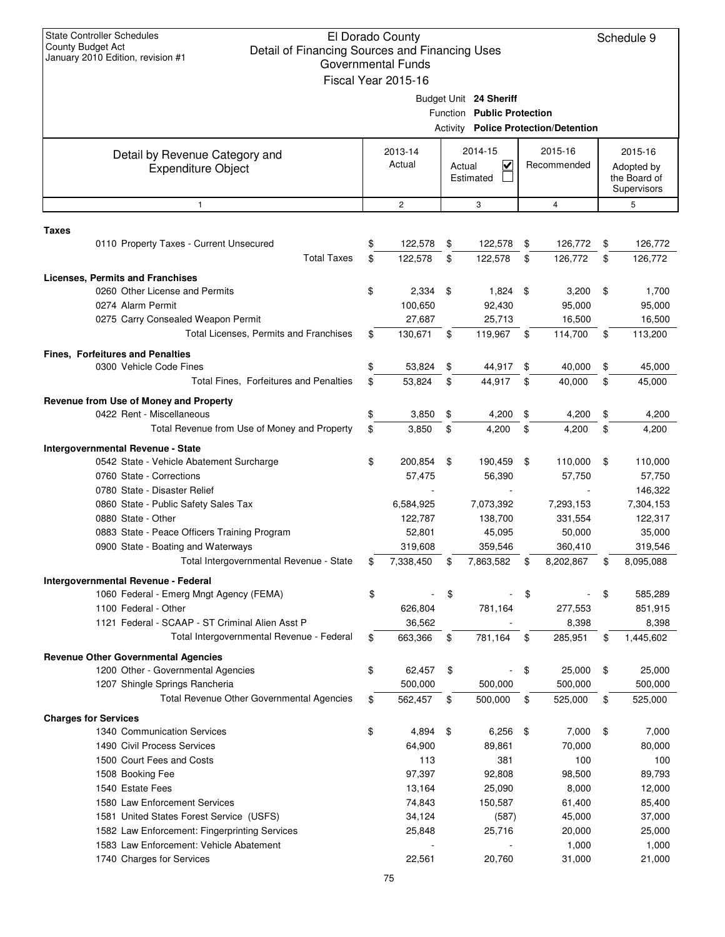| <b>State Controller Schedules</b><br>El Dorado County<br>Schedule 9<br>County Budget Act<br>Detail of Financing Sources and Financing Uses<br>January 2010 Edition, revision #1<br>Governmental Funds<br>Fiscal Year 2015-16 |                                                                               |                   |                    |                                                           |                                                      |                        |                                             |                                                      |                    |
|------------------------------------------------------------------------------------------------------------------------------------------------------------------------------------------------------------------------------|-------------------------------------------------------------------------------|-------------------|--------------------|-----------------------------------------------------------|------------------------------------------------------|------------------------|---------------------------------------------|------------------------------------------------------|--------------------|
|                                                                                                                                                                                                                              |                                                                               |                   |                    |                                                           | Budget Unit 24 Sheriff<br>Function Public Protection |                        | <b>Activity Police Protection/Detention</b> |                                                      |                    |
|                                                                                                                                                                                                                              | Detail by Revenue Category and<br><b>Expenditure Object</b>                   | 2013-14<br>Actual |                    | 2014-15<br>$\overline{\mathbf{v}}$<br>Actual<br>Estimated |                                                      | 2015-16<br>Recommended |                                             | 2015-16<br>Adopted by<br>the Board of<br>Supervisors |                    |
|                                                                                                                                                                                                                              | $\mathbf{1}$                                                                  |                   | $\overline{c}$     |                                                           | 3                                                    |                        | $\overline{4}$                              |                                                      | 5                  |
| <b>Taxes</b>                                                                                                                                                                                                                 |                                                                               |                   |                    |                                                           |                                                      |                        |                                             |                                                      |                    |
|                                                                                                                                                                                                                              | 0110 Property Taxes - Current Unsecured<br><b>Total Taxes</b>                 | \$<br>\$          | 122,578<br>122,578 | \$<br>\$                                                  | 122,578<br>122,578                                   | \$<br>\$               | 126,772<br>126,772                          | \$<br>\$                                             | 126,772<br>126,772 |
|                                                                                                                                                                                                                              | <b>Licenses, Permits and Franchises</b>                                       |                   |                    |                                                           |                                                      |                        |                                             |                                                      |                    |
|                                                                                                                                                                                                                              | 0260 Other License and Permits<br>0274 Alarm Permit                           | \$                | 2,334<br>100,650   | \$                                                        | 1,824 \$<br>92,430                                   |                        | 3,200<br>95,000                             | \$                                                   | 1,700<br>95,000    |
|                                                                                                                                                                                                                              | 0275 Carry Consealed Weapon Permit                                            |                   | 27,687             |                                                           | 25,713                                               |                        | 16,500                                      |                                                      | 16,500             |
|                                                                                                                                                                                                                              | Total Licenses, Permits and Franchises                                        | \$                | 130,671            | \$                                                        | 119,967                                              | \$                     | 114,700                                     | \$                                                   | 113,200            |
|                                                                                                                                                                                                                              | <b>Fines, Forfeitures and Penalties</b><br>0300 Vehicle Code Fines            | \$                | 53,824             | \$                                                        |                                                      | \$                     |                                             |                                                      |                    |
|                                                                                                                                                                                                                              | Total Fines, Forfeitures and Penalties                                        | \$                | 53,824             | \$                                                        | 44,917<br>44,917                                     | \$                     | 40,000<br>40,000                            | \$<br>\$                                             | 45,000<br>45,000   |
|                                                                                                                                                                                                                              |                                                                               |                   |                    |                                                           |                                                      |                        |                                             |                                                      |                    |
|                                                                                                                                                                                                                              | Revenue from Use of Money and Property<br>0422 Rent - Miscellaneous           | \$                | 3,850              | \$                                                        | 4,200                                                | \$                     | 4,200                                       | \$                                                   | 4,200              |
|                                                                                                                                                                                                                              | Total Revenue from Use of Money and Property                                  | \$                | 3,850              | \$                                                        | 4,200                                                | \$                     | 4,200                                       | \$                                                   | 4,200              |
|                                                                                                                                                                                                                              |                                                                               |                   |                    |                                                           |                                                      |                        |                                             |                                                      |                    |
|                                                                                                                                                                                                                              | Intergovernmental Revenue - State<br>0542 State - Vehicle Abatement Surcharge | \$                | 200,854            | \$                                                        | 190,459                                              | \$                     | 110,000                                     | \$                                                   | 110,000            |
|                                                                                                                                                                                                                              | 0760 State - Corrections                                                      |                   | 57,475             |                                                           | 56,390                                               |                        | 57,750                                      |                                                      | 57,750             |
|                                                                                                                                                                                                                              | 0780 State - Disaster Relief                                                  |                   |                    |                                                           |                                                      |                        |                                             |                                                      | 146,322            |
|                                                                                                                                                                                                                              | 0860 State - Public Safety Sales Tax                                          |                   | 6,584,925          |                                                           | 7,073,392                                            |                        | 7,293,153                                   |                                                      | 7,304,153          |
|                                                                                                                                                                                                                              | 0880 State - Other                                                            |                   | 122,787            |                                                           | 138,700                                              |                        | 331,554                                     |                                                      | 122,317            |
|                                                                                                                                                                                                                              | 0883 State - Peace Officers Training Program                                  |                   | 52,801             |                                                           | 45,095                                               |                        | 50,000                                      |                                                      | 35,000             |
|                                                                                                                                                                                                                              | 0900 State - Boating and Waterways                                            |                   | 319,608            |                                                           | 359,546                                              |                        | 360,410                                     |                                                      | 319,546            |
|                                                                                                                                                                                                                              | Total Intergovernmental Revenue - State                                       | \$                | 7,338,450          | \$                                                        | 7,863,582                                            | \$                     | 8,202,867                                   | \$                                                   | 8,095,088          |
|                                                                                                                                                                                                                              | Intergovernmental Revenue - Federal                                           |                   |                    |                                                           |                                                      |                        |                                             |                                                      |                    |
|                                                                                                                                                                                                                              | 1060 Federal - Emerg Mngt Agency (FEMA)<br>1100 Federal - Other               | \$                | 626,804            | \$                                                        | 781,164                                              | \$                     | 277,553                                     | \$                                                   | 585,289<br>851,915 |
|                                                                                                                                                                                                                              | 1121 Federal - SCAAP - ST Criminal Alien Asst P                               |                   | 36,562             |                                                           |                                                      |                        | 8,398                                       |                                                      | 8,398              |
|                                                                                                                                                                                                                              | Total Intergovernmental Revenue - Federal                                     | \$                | 663,366            | \$                                                        | 781,164                                              | \$                     | 285,951                                     | \$                                                   | 1,445,602          |
|                                                                                                                                                                                                                              | <b>Revenue Other Governmental Agencies</b>                                    |                   |                    |                                                           |                                                      |                        |                                             |                                                      |                    |
|                                                                                                                                                                                                                              | 1200 Other - Governmental Agencies                                            | \$                | 62,457             | \$                                                        |                                                      | \$                     | 25,000                                      | \$                                                   | 25,000             |
|                                                                                                                                                                                                                              | 1207 Shingle Springs Rancheria                                                |                   | 500,000            |                                                           | 500,000                                              |                        | 500,000                                     |                                                      | 500,000            |
|                                                                                                                                                                                                                              | Total Revenue Other Governmental Agencies                                     | \$                | 562,457            | \$                                                        | 500,000                                              | \$                     | 525,000                                     | \$                                                   | 525,000            |
|                                                                                                                                                                                                                              | <b>Charges for Services</b>                                                   |                   |                    |                                                           |                                                      |                        |                                             |                                                      |                    |
|                                                                                                                                                                                                                              | 1340 Communication Services                                                   | \$                | 4,894              | \$                                                        | 6,256                                                | -\$                    | 7,000                                       | \$                                                   | 7,000              |
|                                                                                                                                                                                                                              | 1490 Civil Process Services                                                   |                   | 64,900             |                                                           | 89,861                                               |                        | 70,000                                      |                                                      | 80,000             |
|                                                                                                                                                                                                                              | 1500 Court Fees and Costs                                                     |                   | 113                |                                                           | 381                                                  |                        | 100                                         |                                                      | 100                |
|                                                                                                                                                                                                                              | 1508 Booking Fee                                                              |                   | 97,397             |                                                           | 92,808                                               |                        | 98,500                                      |                                                      | 89,793             |
|                                                                                                                                                                                                                              | 1540 Estate Fees<br>1580 Law Enforcement Services                             |                   | 13,164<br>74,843   |                                                           | 25,090<br>150,587                                    |                        | 8,000<br>61,400                             |                                                      | 12,000<br>85,400   |
|                                                                                                                                                                                                                              | 1581 United States Forest Service (USFS)                                      |                   | 34,124             |                                                           | (587)                                                |                        | 45,000                                      |                                                      | 37,000             |
|                                                                                                                                                                                                                              | 1582 Law Enforcement: Fingerprinting Services                                 |                   | 25,848             |                                                           | 25,716                                               |                        | 20,000                                      |                                                      | 25,000             |
|                                                                                                                                                                                                                              | 1583 Law Enforcement: Vehicle Abatement                                       |                   |                    |                                                           |                                                      |                        | 1,000                                       |                                                      | 1,000              |
|                                                                                                                                                                                                                              | 1740 Charges for Services                                                     |                   | 22,561             |                                                           | 20,760                                               |                        | 31,000                                      |                                                      | 21,000             |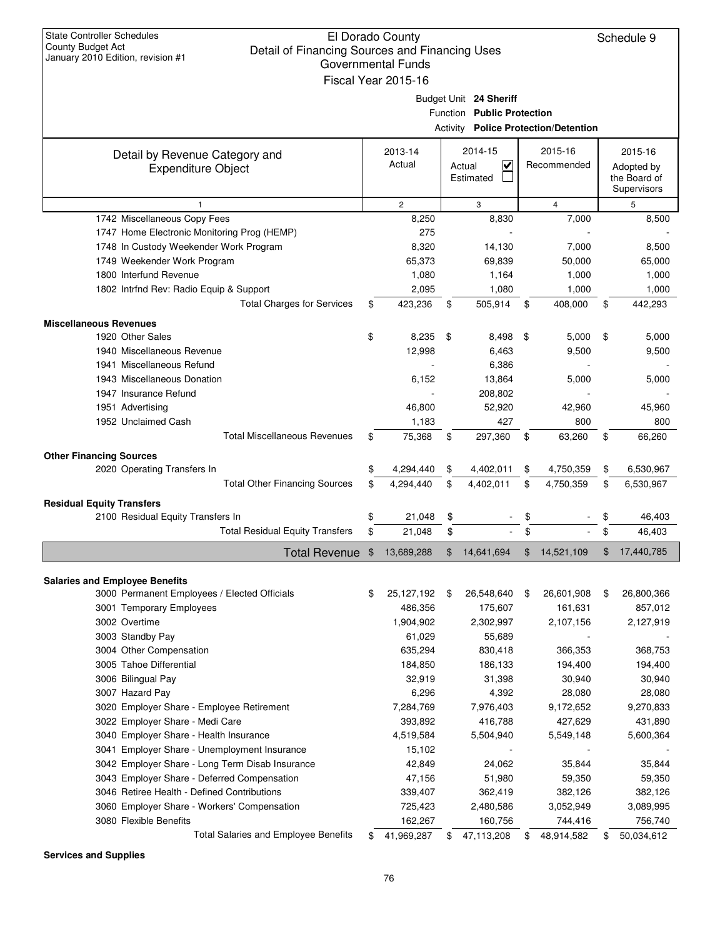| <b>State Controller Schedules</b><br>County Budget Act<br>Detail of Financing Sources and Financing Uses<br>January 2010 Edition, revision #1 | El Dorado County<br>Governmental Funds<br>Fiscal Year 2015-16 |                                                                                                     |                        | Schedule 9                                           |
|-----------------------------------------------------------------------------------------------------------------------------------------------|---------------------------------------------------------------|-----------------------------------------------------------------------------------------------------|------------------------|------------------------------------------------------|
|                                                                                                                                               |                                                               | Budget Unit 24 Sheriff<br>Function Public Protection<br><b>Activity Police Protection/Detention</b> |                        |                                                      |
| Detail by Revenue Category and<br><b>Expenditure Object</b>                                                                                   | 2013-14<br>Actual                                             | 2014-15<br>$\overline{\mathsf{v}}$<br>Actual<br>Estimated                                           | 2015-16<br>Recommended | 2015-16<br>Adopted by<br>the Board of<br>Supervisors |
| 1                                                                                                                                             | $\overline{c}$                                                | 3                                                                                                   | $\overline{4}$         | 5                                                    |
| 1742 Miscellaneous Copy Fees                                                                                                                  | 8,250                                                         | 8,830                                                                                               | 7,000                  | 8,500                                                |
| 1747 Home Electronic Monitoring Prog (HEMP)                                                                                                   | 275                                                           |                                                                                                     |                        |                                                      |
| 1748 In Custody Weekender Work Program                                                                                                        | 8,320                                                         | 14,130                                                                                              | 7,000                  | 8,500                                                |
| 1749 Weekender Work Program                                                                                                                   | 65,373                                                        | 69,839                                                                                              | 50,000                 | 65,000                                               |
| 1800 Interfund Revenue                                                                                                                        | 1,080                                                         | 1,164                                                                                               | 1,000                  | 1,000                                                |
| 1802 Intrfnd Rev: Radio Equip & Support                                                                                                       | 2,095                                                         | 1,080                                                                                               | 1,000                  | 1,000                                                |
| <b>Total Charges for Services</b>                                                                                                             | \$<br>423,236                                                 | \$<br>505,914                                                                                       | \$<br>408,000          | \$<br>442,293                                        |
| <b>Miscellaneous Revenues</b>                                                                                                                 |                                                               |                                                                                                     |                        |                                                      |
| 1920 Other Sales                                                                                                                              | \$<br>8,235                                                   | \$<br>8,498                                                                                         | \$<br>5,000            | \$<br>5,000                                          |
| 1940 Miscellaneous Revenue                                                                                                                    | 12,998                                                        | 6,463                                                                                               | 9,500                  | 9,500                                                |
| 1941 Miscellaneous Refund                                                                                                                     |                                                               | 6,386                                                                                               |                        |                                                      |
| 1943 Miscellaneous Donation                                                                                                                   | 6,152                                                         | 13,864                                                                                              | 5,000                  | 5,000                                                |
| 1947 Insurance Refund                                                                                                                         |                                                               | 208,802                                                                                             |                        |                                                      |
| 1951 Advertising                                                                                                                              | 46,800                                                        | 52,920                                                                                              | 42,960                 | 45,960                                               |
| 1952 Unclaimed Cash                                                                                                                           | 1,183                                                         | 427                                                                                                 | 800                    | 800                                                  |
| <b>Total Miscellaneous Revenues</b>                                                                                                           | \$<br>75,368                                                  | \$<br>297,360                                                                                       | \$<br>63,260           | \$<br>66,260                                         |
|                                                                                                                                               |                                                               |                                                                                                     |                        |                                                      |
| <b>Other Financing Sources</b><br>2020 Operating Transfers In                                                                                 | \$<br>4,294,440                                               | \$<br>4,402,011                                                                                     | \$<br>4,750,359        | \$<br>6,530,967                                      |
| <b>Total Other Financing Sources</b>                                                                                                          | \$<br>4,294,440                                               | \$<br>4,402,011                                                                                     | \$<br>4,750,359        | \$<br>6,530,967                                      |
|                                                                                                                                               |                                                               |                                                                                                     |                        |                                                      |
| <b>Residual Equity Transfers</b>                                                                                                              |                                                               |                                                                                                     |                        |                                                      |
| 2100 Residual Equity Transfers In                                                                                                             | \$<br>21,048                                                  | \$                                                                                                  | \$                     | 46,403                                               |
| <b>Total Residual Equity Transfers</b>                                                                                                        | \$<br>21,048                                                  | \$                                                                                                  | \$                     | \$<br>46,403                                         |
| Total Revenue                                                                                                                                 | \$<br>13,689,288                                              | 14,641,694                                                                                          | 14,521,109             | 17,440,785                                           |
| <b>Salaries and Employee Benefits</b>                                                                                                         |                                                               |                                                                                                     |                        |                                                      |
| 3000 Permanent Employees / Elected Officials                                                                                                  | \$<br>25, 127, 192                                            | \$<br>26,548,640                                                                                    | \$<br>26,601,908       | \$<br>26,800,366                                     |
| 3001 Temporary Employees                                                                                                                      | 486,356                                                       | 175,607                                                                                             | 161,631                | 857,012                                              |
| 3002 Overtime                                                                                                                                 | 1,904,902                                                     | 2,302,997                                                                                           | 2,107,156              | 2,127,919                                            |
| 3003 Standby Pay                                                                                                                              | 61,029                                                        | 55,689                                                                                              |                        |                                                      |
| 3004 Other Compensation                                                                                                                       | 635,294                                                       | 830,418                                                                                             | 366,353                | 368,753                                              |
| 3005 Tahoe Differential                                                                                                                       | 184,850                                                       | 186,133                                                                                             | 194,400                | 194,400                                              |
| 3006 Bilingual Pay                                                                                                                            | 32,919                                                        | 31,398                                                                                              | 30,940                 | 30,940                                               |
| 3007 Hazard Pay                                                                                                                               | 6,296                                                         | 4,392                                                                                               | 28,080                 | 28,080                                               |
| 3020 Employer Share - Employee Retirement                                                                                                     | 7,284,769                                                     | 7,976,403                                                                                           | 9,172,652              | 9,270,833                                            |
| 3022 Employer Share - Medi Care                                                                                                               | 393,892                                                       | 416,788                                                                                             | 427,629                | 431,890                                              |
| 3040 Employer Share - Health Insurance                                                                                                        | 4,519,584                                                     | 5,504,940                                                                                           | 5,549,148              | 5,600,364                                            |
| 3041 Employer Share - Unemployment Insurance                                                                                                  | 15,102                                                        |                                                                                                     |                        |                                                      |
| 3042 Employer Share - Long Term Disab Insurance                                                                                               | 42,849                                                        | 24,062                                                                                              | 35,844                 | 35,844                                               |
| 3043 Employer Share - Deferred Compensation                                                                                                   | 47,156                                                        | 51,980                                                                                              | 59,350                 | 59,350                                               |
| 3046 Retiree Health - Defined Contributions                                                                                                   | 339,407                                                       | 362,419                                                                                             | 382,126                | 382,126                                              |
| 3060 Employer Share - Workers' Compensation                                                                                                   | 725,423                                                       | 2,480,586                                                                                           | 3,052,949              | 3,089,995                                            |
| 3080 Flexible Benefits                                                                                                                        | 162,267                                                       | 160,756                                                                                             | 744,416                | 756,740                                              |
| Total Salaries and Employee Benefits                                                                                                          | \$<br>41,969,287                                              | \$<br>47,113,208                                                                                    | \$<br>48,914,582       | 50,034,612                                           |

**Services and Supplies**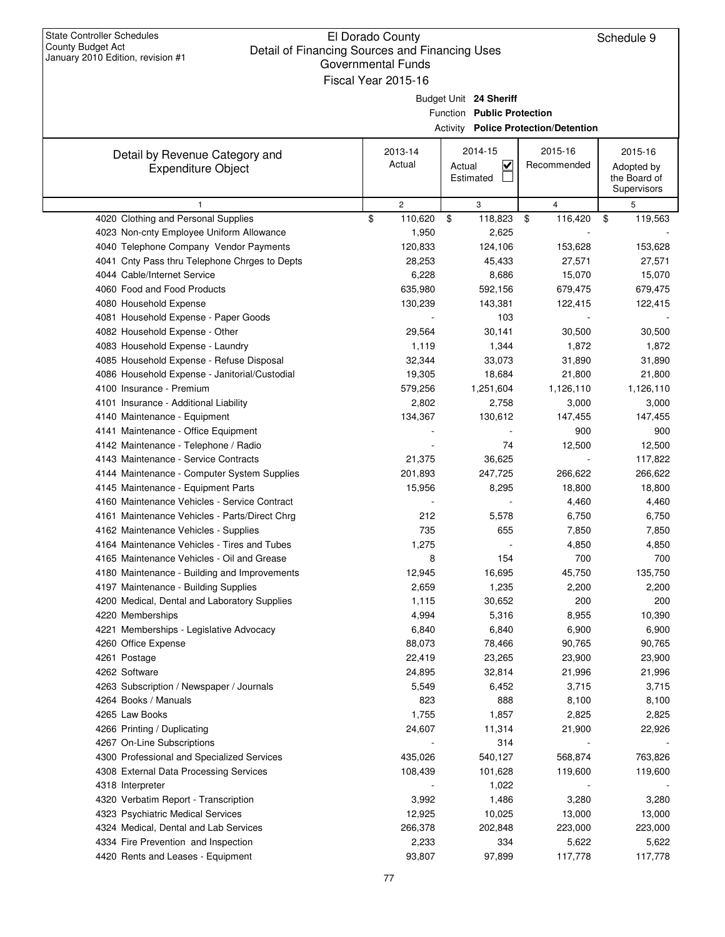## El Dorado County Detail of Financing Sources and Financing Uses Governmental Funds Fiscal Year 2015-16

| January 2010 Edition, revision #1                   | Governmental Funds<br>Fiscal Year 2015-16 |                           |                                                      |                                 |                    |
|-----------------------------------------------------|-------------------------------------------|---------------------------|------------------------------------------------------|---------------------------------|--------------------|
|                                                     |                                           |                           |                                                      |                                 |                    |
|                                                     |                                           |                           | Budget Unit 24 Sheriff<br>Function Public Protection |                                 |                    |
|                                                     |                                           |                           | <b>Activity Police Protection/Detention</b>          |                                 |                    |
|                                                     |                                           |                           |                                                      |                                 |                    |
| Detail by Revenue Category and                      |                                           | 2013-14                   | 2014-15                                              | 2015-16                         | 2015-16            |
| <b>Expenditure Object</b>                           |                                           | Actual                    | V<br>Actual                                          | Recommended                     | Adopted by         |
|                                                     |                                           |                           | Estimated                                            |                                 | the Board of       |
|                                                     |                                           |                           |                                                      |                                 | Supervisors        |
| $\mathbf{1}$<br>4020 Clothing and Personal Supplies | \$                                        | $\overline{2}$<br>110,620 | 3<br>\$<br>118,823                                   | $\overline{4}$<br>\$<br>116,420 | 5<br>\$<br>119,563 |
| 4023 Non-cnty Employee Uniform Allowance            |                                           | 1,950                     | 2,625                                                |                                 |                    |
| 4040 Telephone Company Vendor Payments              |                                           | 120,833                   | 124,106                                              | 153,628                         | 153,628            |
| 4041 Cnty Pass thru Telephone Chrges to Depts       |                                           | 28,253                    | 45,433                                               | 27,571                          | 27,571             |
| 4044 Cable/Internet Service                         |                                           | 6,228                     | 8,686                                                | 15,070                          | 15,070             |
| 4060 Food and Food Products                         |                                           | 635,980                   | 592,156                                              | 679,475                         | 679,475            |
| 4080 Household Expense                              |                                           | 130,239                   | 143,381                                              | 122,415                         | 122,415            |
| 4081 Household Expense - Paper Goods                |                                           |                           | 103                                                  |                                 |                    |
| 4082 Household Expense - Other                      |                                           | 29,564                    | 30,141                                               | 30,500                          | 30,500             |
| 4083 Household Expense - Laundry                    |                                           | 1,119                     | 1,344                                                | 1,872                           | 1,872              |
| 4085 Household Expense - Refuse Disposal            |                                           | 32,344                    | 33,073                                               | 31,890                          | 31,890             |
| 4086 Household Expense - Janitorial/Custodial       |                                           | 19,305                    | 18,684                                               | 21,800                          | 21,800             |
| 4100 Insurance - Premium                            |                                           | 579,256                   | 1,251,604                                            | 1,126,110                       | 1,126,110          |
| 4101 Insurance - Additional Liability               |                                           | 2,802                     | 2,758                                                | 3,000                           | 3,000              |
| 4140 Maintenance - Equipment                        |                                           | 134,367                   | 130,612                                              | 147,455                         | 147,455            |
| 4141 Maintenance - Office Equipment                 |                                           |                           |                                                      | 900                             | 900                |
| 4142 Maintenance - Telephone / Radio                |                                           |                           | 74                                                   | 12,500                          | 12,500             |
| 4143 Maintenance - Service Contracts                |                                           | 21,375                    | 36,625                                               |                                 | 117,822            |
| 4144 Maintenance - Computer System Supplies         |                                           | 201,893                   | 247,725                                              | 266,622                         | 266,622            |
| 4145 Maintenance - Equipment Parts                  |                                           | 15,956                    | 8,295                                                | 18,800                          | 18,800             |
| 4160 Maintenance Vehicles - Service Contract        |                                           |                           |                                                      | 4,460                           | 4,460              |
| 4161 Maintenance Vehicles - Parts/Direct Chrg       |                                           | 212                       | 5,578                                                | 6,750                           | 6,750              |
| 4162 Maintenance Vehicles - Supplies                |                                           | 735                       | 655                                                  | 7,850                           | 7,850              |
| 4164 Maintenance Vehicles - Tires and Tubes         |                                           | 1,275                     |                                                      | 4,850                           | 4,850              |
| 4165 Maintenance Vehicles - Oil and Grease          |                                           | 8                         | 154                                                  | 700                             | 700                |
| 4180 Maintenance - Building and Improvements        |                                           | 12,945                    | 16,695                                               | 45,750                          | 135,750            |
| 4197 Maintenance - Building Supplies                |                                           | 2,659                     | 1,235                                                | 2,200                           | 2,200              |
| 4200 Medical, Dental and Laboratory Supplies        |                                           | 1,115                     | 30,652                                               | 200                             | 200                |
| 4220 Memberships                                    |                                           | 4,994                     | 5,316                                                | 8,955                           | 10,390             |
| 4221 Memberships - Legislative Advocacy             |                                           | 6,840                     | 6,840                                                | 6,900                           | 6,900              |
| 4260 Office Expense                                 |                                           | 88,073                    | 78,466                                               | 90,765                          | 90,765             |
| 4261 Postage<br>4262 Software                       |                                           | 22,419                    | 23,265                                               | 23,900                          | 23,900             |
| 4263 Subscription / Newspaper / Journals            |                                           | 24,895<br>5,549           | 32,814<br>6,452                                      | 21,996<br>3,715                 | 21,996<br>3,715    |
| 4264 Books / Manuals                                |                                           | 823                       | 888                                                  | 8,100                           | 8,100              |
| 4265 Law Books                                      |                                           | 1,755                     | 1,857                                                | 2,825                           | 2,825              |
| 4266 Printing / Duplicating                         |                                           | 24,607                    | 11,314                                               | 21,900                          | 22,926             |
| 4267 On-Line Subscriptions                          |                                           |                           | 314                                                  |                                 |                    |
| 4300 Professional and Specialized Services          |                                           | 435,026                   | 540,127                                              | 568,874                         | 763,826            |
| 4308 External Data Processing Services              |                                           | 108,439                   | 101,628                                              | 119,600                         | 119,600            |
| 4318 Interpreter                                    |                                           |                           | 1,022                                                |                                 |                    |
| 4320 Verbatim Report - Transcription                |                                           | 3,992                     | 1,486                                                | 3,280                           | 3,280              |
| 4323 Psychiatric Medical Services                   |                                           | 12,925                    | 10,025                                               | 13,000                          | 13,000             |
| 4324 Medical, Dental and Lab Services               |                                           | 266,378                   | 202,848                                              | 223,000                         | 223,000            |
| 4334 Fire Prevention and Inspection                 |                                           | 2,233                     | 334                                                  | 5,622                           | 5,622              |
| 4420 Rents and Leases - Equipment                   |                                           | 93,807                    | 97,899                                               | 117,778                         | 117,778            |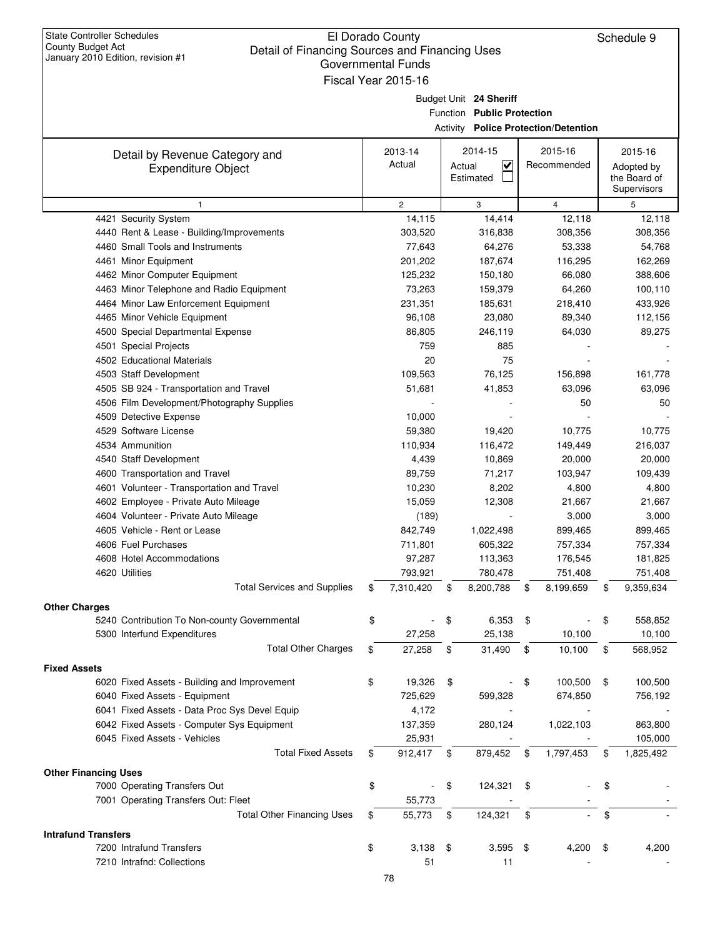| <b>State Controller Schedules</b><br>County Budget Act<br>Detail of Financing Sources and Financing Uses | El Dorado County          |        |                            |                                             | Schedule 9      |
|----------------------------------------------------------------------------------------------------------|---------------------------|--------|----------------------------|---------------------------------------------|-----------------|
| January 2010 Edition, revision #1                                                                        | <b>Governmental Funds</b> |        |                            |                                             |                 |
|                                                                                                          | Fiscal Year 2015-16       |        |                            |                                             |                 |
|                                                                                                          |                           |        |                            |                                             |                 |
|                                                                                                          |                           |        | Budget Unit 24 Sheriff     |                                             |                 |
|                                                                                                          |                           |        | Function Public Protection |                                             |                 |
|                                                                                                          |                           |        |                            | <b>Activity Police Protection/Detention</b> |                 |
| Detail by Revenue Category and                                                                           | 2013-14                   |        | 2014-15                    | 2015-16                                     | 2015-16         |
| <b>Expenditure Object</b>                                                                                | Actual                    | Actual | <u>V</u>                   | Recommended                                 | Adopted by      |
|                                                                                                          |                           |        | Estimated                  |                                             | the Board of    |
|                                                                                                          |                           |        |                            |                                             | Supervisors     |
| $\mathbf{1}$                                                                                             | $\overline{c}$            |        | 3                          | $\overline{4}$                              | 5               |
| 4421 Security System                                                                                     | 14,115                    |        | 14,414                     | 12,118                                      | 12,118          |
| 4440 Rent & Lease - Building/Improvements                                                                | 303,520                   |        | 316,838                    | 308,356                                     | 308,356         |
| 4460 Small Tools and Instruments                                                                         | 77,643                    |        | 64,276                     | 53,338                                      | 54,768          |
| 4461 Minor Equipment                                                                                     | 201,202                   |        | 187,674                    | 116,295                                     | 162,269         |
| 4462 Minor Computer Equipment                                                                            | 125,232                   |        | 150,180                    | 66,080                                      | 388,606         |
| 4463 Minor Telephone and Radio Equipment                                                                 | 73,263                    |        | 159,379                    | 64,260                                      | 100,110         |
| 4464 Minor Law Enforcement Equipment                                                                     | 231,351                   |        | 185,631                    | 218,410                                     | 433,926         |
| 4465 Minor Vehicle Equipment                                                                             | 96,108                    |        | 23,080                     | 89,340                                      | 112,156         |
| 4500 Special Departmental Expense                                                                        | 86,805                    |        | 246,119                    | 64,030                                      | 89,275          |
| 4501 Special Projects                                                                                    | 759                       |        | 885                        |                                             |                 |
| 4502 Educational Materials                                                                               | 20                        |        | 75                         |                                             |                 |
| 4503 Staff Development                                                                                   | 109,563<br>51,681         |        | 76,125                     | 156,898<br>63,096                           | 161,778         |
| 4505 SB 924 - Transportation and Travel<br>4506 Film Development/Photography Supplies                    |                           |        | 41,853                     | 50                                          | 63,096<br>50    |
| 4509 Detective Expense                                                                                   | 10,000                    |        |                            |                                             |                 |
| 4529 Software License                                                                                    | 59,380                    |        | 19,420                     | 10,775                                      | 10,775          |
| 4534 Ammunition                                                                                          | 110,934                   |        | 116,472                    | 149,449                                     | 216,037         |
| 4540 Staff Development                                                                                   | 4,439                     |        | 10,869                     | 20,000                                      | 20,000          |
| 4600 Transportation and Travel                                                                           | 89,759                    |        | 71,217                     | 103,947                                     | 109,439         |
| 4601 Volunteer - Transportation and Travel                                                               | 10,230                    |        | 8,202                      | 4,800                                       | 4,800           |
| 4602 Employee - Private Auto Mileage                                                                     | 15,059                    |        | 12,308                     | 21,667                                      | 21,667          |
| 4604 Volunteer - Private Auto Mileage                                                                    | (189)                     |        |                            | 3,000                                       | 3,000           |
| 4605 Vehicle - Rent or Lease                                                                             | 842,749                   |        | 1,022,498                  | 899,465                                     | 899,465         |
| 4606 Fuel Purchases                                                                                      | 711,801                   |        | 605,322                    | 757,334                                     | 757,334         |
| 4608 Hotel Accommodations                                                                                | 97,287                    |        | 113,363                    | 176,545                                     | 181,825         |
| 4620 Utilities                                                                                           | 793,921                   |        | 780,478                    | 751,408                                     | 751,408         |
| <b>Total Services and Supplies</b>                                                                       | \$<br>7,310,420           | \$     | 8,200,788                  | \$<br>8,199,659                             | \$<br>9,359,634 |
| <b>Other Charges</b>                                                                                     |                           |        |                            |                                             |                 |
| 5240 Contribution To Non-county Governmental                                                             | \$                        | \$     | 6,353                      | \$                                          | \$<br>558,852   |
| 5300 Interfund Expenditures                                                                              | 27,258                    |        | 25,138                     | 10,100                                      | 10,100          |
| <b>Total Other Charges</b>                                                                               | \$<br>27,258              | \$     | 31,490                     | \$<br>10,100                                | \$<br>568,952   |
|                                                                                                          |                           |        |                            |                                             |                 |
| <b>Fixed Assets</b>                                                                                      |                           |        |                            |                                             |                 |
| 6020 Fixed Assets - Building and Improvement                                                             | \$<br>19,326              | \$     |                            | \$<br>100,500                               | \$<br>100,500   |
| 6040 Fixed Assets - Equipment                                                                            | 725,629                   |        | 599,328                    | 674,850                                     | 756,192         |
| 6041 Fixed Assets - Data Proc Sys Devel Equip                                                            | 4,172                     |        |                            |                                             |                 |
| 6042 Fixed Assets - Computer Sys Equipment                                                               | 137,359                   |        | 280,124                    | 1,022,103                                   | 863,800         |
| 6045 Fixed Assets - Vehicles                                                                             | 25,931                    |        |                            |                                             | 105,000         |
| <b>Total Fixed Assets</b>                                                                                | \$<br>912,417             | \$     | 879,452                    | \$<br>1,797,453                             | \$<br>1,825,492 |
| <b>Other Financing Uses</b>                                                                              |                           |        |                            |                                             |                 |
| 7000 Operating Transfers Out                                                                             | \$                        | \$     | 124,321                    | \$                                          | \$              |
| 7001 Operating Transfers Out: Fleet                                                                      | 55,773                    |        |                            |                                             |                 |
| <b>Total Other Financing Uses</b>                                                                        | \$<br>55,773              | \$     | 124,321                    | \$                                          | \$              |
| <b>Intrafund Transfers</b>                                                                               |                           |        |                            |                                             |                 |

7200 Intrafund Transfers 1,200 \$4,200 \$4,200 \$4,200 \$4,200 \$4,200 \$4,200 \$4,200 \$ 7210 Intrafnd: Collections and the state of the state of the state of the state of the state of the state of the state of the state of the state of the state of the state of the state of the state of the state of the state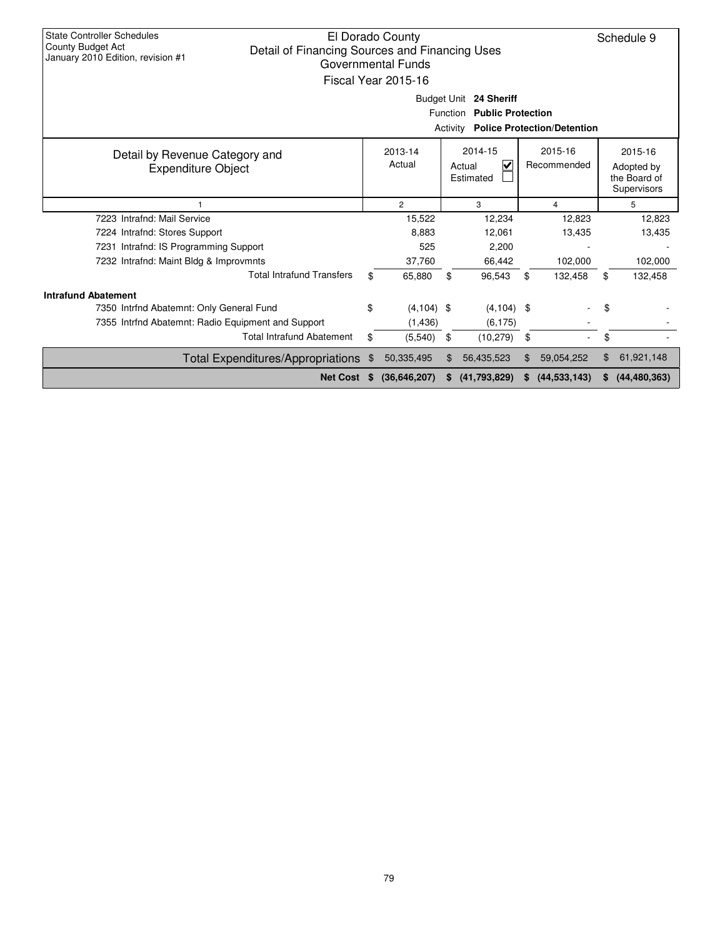| <b>State Controller Schedules</b><br>County Budget Act<br>Detail of Financing Sources and Financing Uses<br>January 2010 Edition, revision #1 |    | El Dorado County<br>Governmental Funds<br>Fiscal Year 2015-16 |     | Budget Unit 24 Sheriff                           |     |                                    |    | Schedule 9                                           |
|-----------------------------------------------------------------------------------------------------------------------------------------------|----|---------------------------------------------------------------|-----|--------------------------------------------------|-----|------------------------------------|----|------------------------------------------------------|
|                                                                                                                                               |    |                                                               |     | <b>Public Protection</b><br>Function<br>Activity |     | <b>Police Protection/Detention</b> |    |                                                      |
|                                                                                                                                               |    |                                                               |     |                                                  |     |                                    |    |                                                      |
| Detail by Revenue Category and<br><b>Expenditure Object</b>                                                                                   |    | 2013-14<br>Actual                                             |     | 2014-15<br>$\checkmark$<br>Actual<br>Estimated   |     | 2015-16<br>Recommended             |    | 2015-16<br>Adopted by<br>the Board of<br>Supervisors |
|                                                                                                                                               |    | $\overline{2}$                                                |     | 3                                                |     | 4                                  |    | 5                                                    |
| 7223 Intrafnd: Mail Service                                                                                                                   |    | 15,522                                                        |     | 12,234                                           |     | 12,823                             |    | 12,823                                               |
| 7224 Intrafnd: Stores Support                                                                                                                 |    | 8,883                                                         |     | 12,061                                           |     | 13,435                             |    | 13,435                                               |
| 7231 Intrafnd: IS Programming Support                                                                                                         |    | 525                                                           |     | 2,200                                            |     |                                    |    |                                                      |
| 7232 Intrafnd: Maint Bldg & Improvmnts                                                                                                        |    | 37,760                                                        |     | 66,442                                           |     | 102,000                            |    | 102,000                                              |
| <b>Total Intrafund Transfers</b>                                                                                                              | \$ | 65.880                                                        | \$  | 96,543                                           | \$  | 132,458                            | \$ | 132,458                                              |
| <b>Intrafund Abatement</b>                                                                                                                    |    |                                                               |     |                                                  |     |                                    |    |                                                      |
| 7350 Intrfnd Abatemnt: Only General Fund                                                                                                      | \$ | $(4, 104)$ \$                                                 |     | $(4, 104)$ \$                                    |     |                                    | \$ |                                                      |
| 7355 Intrfnd Abatemnt: Radio Equipment and Support                                                                                            |    | (1,436)                                                       |     | (6, 175)                                         |     |                                    |    |                                                      |
| <b>Total Intrafund Abatement</b>                                                                                                              | \$ | (5,540)                                                       | \$  | (10, 279)                                        | \$  |                                    | \$ |                                                      |
| <b>Total Expenditures/Appropriations</b>                                                                                                      | \$ | 50,335,495                                                    | \$. | 56,435,523                                       | \$. | 59,054,252                         | \$ | 61,921,148                                           |
| <b>Net Cost</b>                                                                                                                               | S  | (36,646,207)                                                  |     | (41,793,829)                                     |     | (44, 533, 143)                     | S. | (44, 480, 363)                                       |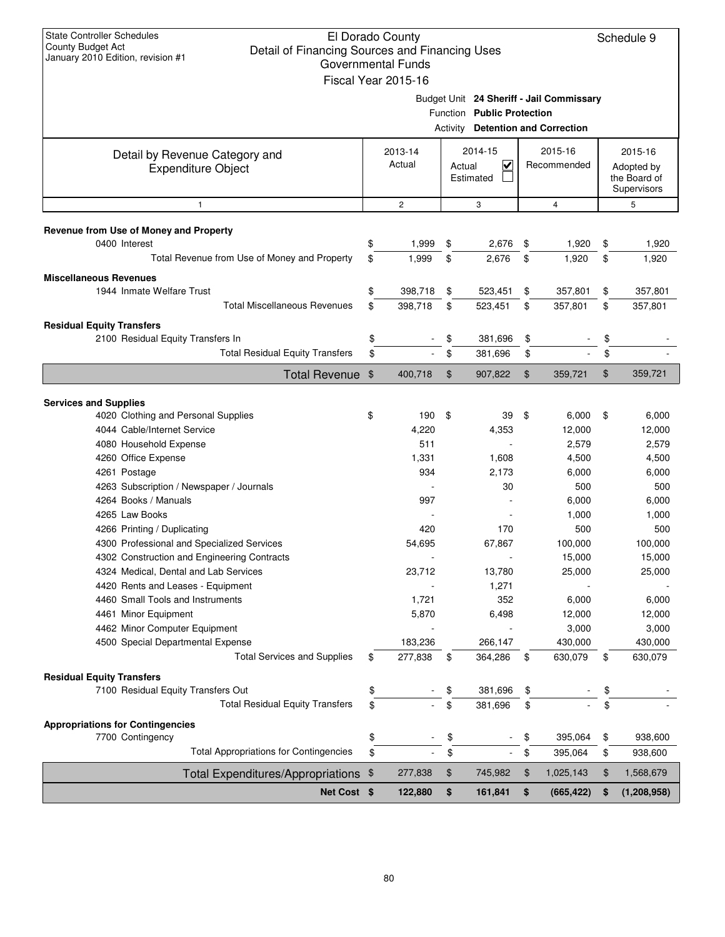|                   | Net Cost \$                                                             | 122,880                  | \$<br>161,841                                  | \$<br>(665, 422)                         | \$<br>(1, 208, 958)        |
|-------------------|-------------------------------------------------------------------------|--------------------------|------------------------------------------------|------------------------------------------|----------------------------|
|                   | Total Expenditures/Appropriations \$                                    | 277,838                  | \$<br>745,982                                  | \$<br>1,025,143                          | \$<br>1,568,679            |
|                   | <b>Total Appropriations for Contingencies</b>                           | \$                       | \$                                             | \$<br>395,064                            | \$<br>938,600              |
|                   | 7700 Contingency                                                        | \$                       | \$                                             | \$<br>395,064                            | \$<br>938,600              |
|                   | <b>Appropriations for Contingencies</b>                                 |                          |                                                |                                          |                            |
|                   | <b>Total Residual Equity Transfers</b>                                  | \$                       | \$<br>381,696                                  | \$                                       | \$                         |
|                   | 7100 Residual Equity Transfers Out                                      | \$                       | \$<br>381,696                                  | \$                                       | \$                         |
|                   | <b>Residual Equity Transfers</b>                                        |                          |                                                |                                          |                            |
|                   |                                                                         |                          |                                                |                                          |                            |
|                   | 4500 Special Departmental Expense<br><b>Total Services and Supplies</b> | \$<br>183,236<br>277,838 | \$<br>266,147<br>364,286                       | \$<br>430,000<br>630,079                 | \$<br>430,000<br>630,079   |
|                   | 4462 Minor Computer Equipment                                           |                          |                                                | 3,000                                    | 3,000                      |
|                   | 4461 Minor Equipment                                                    | 5,870                    | 6,498                                          | 12,000                                   | 12,000                     |
|                   | 4460 Small Tools and Instruments                                        | 1,721                    | 352                                            | 6,000                                    | 6,000                      |
|                   | 4420 Rents and Leases - Equipment                                       |                          | 1,271                                          |                                          |                            |
|                   | 4324 Medical, Dental and Lab Services                                   | 23,712                   | 13,780                                         | 25,000                                   | 25,000                     |
|                   | 4302 Construction and Engineering Contracts                             |                          |                                                | 15,000                                   | 15,000                     |
|                   | 4300 Professional and Specialized Services                              | 54.695                   | 67.867                                         | 100,000                                  | 100,000                    |
|                   | 4266 Printing / Duplicating                                             | 420                      | 170                                            | 500                                      | 500                        |
|                   | 4265 Law Books                                                          |                          |                                                | 1,000                                    | 1,000                      |
|                   | 4264 Books / Manuals                                                    | 997                      |                                                | 6,000                                    | 6,000                      |
|                   | 4263 Subscription / Newspaper / Journals                                |                          | 30                                             | 500                                      | 500                        |
|                   | 4261 Postage                                                            | 934                      | 2,173                                          | 6,000                                    | 6,000                      |
|                   | 4260 Office Expense                                                     | 1,331                    | 1,608                                          | 4,500                                    | 4,500                      |
|                   | 4080 Household Expense                                                  | 511                      |                                                | 2,579                                    | 2,579                      |
|                   | 4044 Cable/Internet Service                                             | 4,220                    | 4,353                                          | 12,000                                   | 12,000                     |
|                   | <b>Services and Supplies</b><br>4020 Clothing and Personal Supplies     | \$<br>190                | \$<br>39                                       | \$<br>6,000                              | \$<br>6,000                |
|                   |                                                                         |                          |                                                |                                          |                            |
|                   | Total Revenue \$                                                        | 400,718                  | \$<br>907,822                                  | \$<br>359,721                            | \$<br>359,721              |
|                   | <b>Total Residual Equity Transfers</b>                                  | \$                       | \$<br>381,696                                  | \$                                       | \$                         |
|                   | 2100 Residual Equity Transfers In                                       | \$                       | \$<br>381,696                                  | \$                                       | \$                         |
|                   | <b>Residual Equity Transfers</b>                                        |                          |                                                |                                          |                            |
|                   | <b>Total Miscellaneous Revenues</b>                                     | \$<br>398,718            | \$<br>523,451                                  | \$<br>357,801                            | \$<br>357,801              |
|                   | 1944 Inmate Welfare Trust                                               | \$<br>398,718            | \$<br>523,451                                  | \$<br>357,801                            | \$<br>357,801              |
|                   | <b>Miscellaneous Revenues</b>                                           |                          |                                                |                                          |                            |
|                   | Total Revenue from Use of Money and Property                            | \$<br>1,999              | \$<br>2,676                                    | \$<br>1,920                              | \$<br>1,920                |
|                   | Revenue from Use of Money and Property<br>0400 Interest                 | \$<br>1,999              | \$<br>2,676                                    | \$<br>1,920                              | \$<br>1,920                |
|                   |                                                                         |                          |                                                |                                          |                            |
|                   | 1                                                                       | $\mathbf{2}$             | 3                                              | $\overline{4}$                           | Supervisors<br>5           |
|                   | <b>Expenditure Object</b>                                               | Actual                   | $\overline{\mathbf{v}}$<br>Actual<br>Estimated | Recommended                              | Adopted by<br>the Board of |
|                   | Detail by Revenue Category and                                          | 2013-14                  | 2014-15                                        | 2015-16                                  | 2015-16                    |
|                   |                                                                         |                          | <b>Activity Detention and Correction</b>       |                                          |                            |
|                   |                                                                         |                          | Function Public Protection                     |                                          |                            |
|                   |                                                                         |                          |                                                | Budget Unit 24 Sheriff - Jail Commissary |                            |
|                   |                                                                         | Fiscal Year 2015-16      |                                                |                                          |                            |
|                   | January 2010 Edition, revision #1                                       | Governmental Funds       |                                                |                                          |                            |
|                   | Detail of Financing Sources and Financing Uses                          |                          |                                                |                                          |                            |
| County Budget Act |                                                                         | El Dorado County         |                                                |                                          | Schedule 9                 |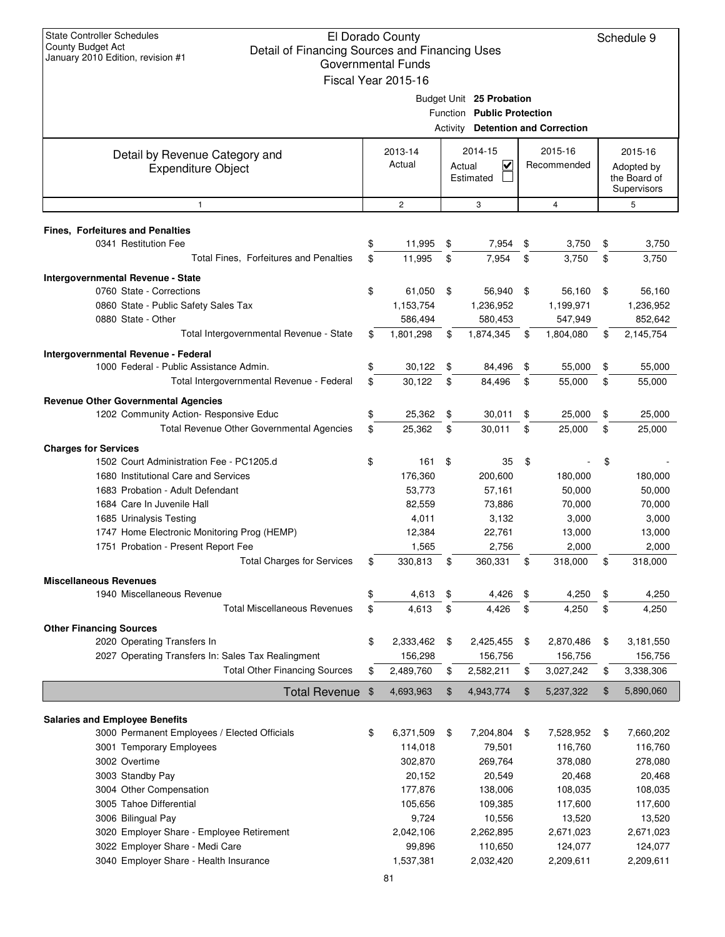| <b>State Controller Schedules</b><br>El Dorado County<br>County Budget Act<br>Detail of Financing Sources and Financing Uses<br>January 2010 Edition, revision #1<br>Governmental Funds<br>Fiscal Year 2015-16 |                   |                    |                                                           |                                                                                                    |                        |                      |    |                                                      |
|----------------------------------------------------------------------------------------------------------------------------------------------------------------------------------------------------------------|-------------------|--------------------|-----------------------------------------------------------|----------------------------------------------------------------------------------------------------|------------------------|----------------------|----|------------------------------------------------------|
|                                                                                                                                                                                                                |                   |                    |                                                           | Budget Unit 25 Probation<br>Function Public Protection<br><b>Activity Detention and Correction</b> |                        |                      |    |                                                      |
| Detail by Revenue Category and<br><b>Expenditure Object</b>                                                                                                                                                    | 2013-14<br>Actual |                    | 2014-15<br>$\overline{\mathbf{v}}$<br>Actual<br>Estimated |                                                                                                    | 2015-16<br>Recommended |                      |    | 2015-16<br>Adopted by<br>the Board of<br>Supervisors |
| $\mathbf{1}$                                                                                                                                                                                                   |                   | $\mathbf{2}$       |                                                           | 3                                                                                                  |                        | 4                    |    | 5                                                    |
| <b>Fines, Forfeitures and Penalties</b>                                                                                                                                                                        |                   |                    |                                                           |                                                                                                    |                        |                      |    |                                                      |
| 0341 Restitution Fee                                                                                                                                                                                           | \$                | 11,995             | \$                                                        | 7,954                                                                                              | \$                     | 3,750                | \$ | 3,750                                                |
| Total Fines, Forfeitures and Penalties                                                                                                                                                                         | \$                | 11,995             | \$                                                        | 7,954                                                                                              | \$                     | 3,750                | \$ | 3,750                                                |
| <b>Intergovernmental Revenue - State</b>                                                                                                                                                                       |                   |                    |                                                           |                                                                                                    |                        |                      |    |                                                      |
| 0760 State - Corrections                                                                                                                                                                                       | \$                | 61,050             | \$                                                        | 56,940                                                                                             | \$                     | 56,160               | \$ | 56,160                                               |
| 0860 State - Public Safety Sales Tax                                                                                                                                                                           |                   | 1,153,754          |                                                           | 1,236,952                                                                                          |                        | 1,199,971            |    | 1,236,952                                            |
| 0880 State - Other                                                                                                                                                                                             |                   | 586,494            |                                                           | 580,453                                                                                            |                        | 547,949              |    | 852,642                                              |
| Total Intergovernmental Revenue - State                                                                                                                                                                        | \$                | 1,801,298          | \$                                                        | 1,874,345                                                                                          | \$                     | 1,804,080            | \$ | 2,145,754                                            |
|                                                                                                                                                                                                                |                   |                    |                                                           |                                                                                                    |                        |                      |    |                                                      |
| Intergovernmental Revenue - Federal<br>1000 Federal - Public Assistance Admin.                                                                                                                                 | \$                | 30,122             | \$                                                        | 84,496                                                                                             | \$                     | 55,000               | \$ | 55,000                                               |
| Total Intergovernmental Revenue - Federal                                                                                                                                                                      | \$                | 30,122             | \$                                                        | 84,496                                                                                             | \$                     | 55,000               | \$ | 55,000                                               |
|                                                                                                                                                                                                                |                   |                    |                                                           |                                                                                                    |                        |                      |    |                                                      |
| <b>Revenue Other Governmental Agencies</b><br>1202 Community Action- Responsive Educ                                                                                                                           | \$                | 25,362             | \$                                                        | 30,011                                                                                             | \$                     | 25,000               | \$ | 25,000                                               |
| Total Revenue Other Governmental Agencies                                                                                                                                                                      | \$                | 25,362             | \$                                                        | 30,011                                                                                             | \$                     | 25,000               | \$ | 25,000                                               |
|                                                                                                                                                                                                                |                   |                    |                                                           |                                                                                                    |                        |                      |    |                                                      |
| <b>Charges for Services</b>                                                                                                                                                                                    |                   |                    |                                                           |                                                                                                    |                        |                      |    |                                                      |
| 1502 Court Administration Fee - PC1205.d<br>1680 Institutional Care and Services                                                                                                                               | \$                | 161<br>176,360     | -\$                                                       | 35<br>200,600                                                                                      | \$                     | 180,000              | \$ | 180,000                                              |
| 1683 Probation - Adult Defendant                                                                                                                                                                               |                   | 53,773             |                                                           | 57,161                                                                                             |                        | 50,000               |    | 50,000                                               |
| 1684 Care In Juvenile Hall                                                                                                                                                                                     |                   | 82,559             |                                                           | 73,886                                                                                             |                        | 70,000               |    | 70,000                                               |
| 1685 Urinalysis Testing                                                                                                                                                                                        |                   | 4,011              |                                                           | 3,132                                                                                              |                        | 3,000                |    | 3,000                                                |
| 1747 Home Electronic Monitoring Prog (HEMP)                                                                                                                                                                    |                   | 12,384             |                                                           | 22,761                                                                                             |                        | 13,000               |    | 13,000                                               |
| 1751 Probation - Present Report Fee                                                                                                                                                                            |                   | 1,565              |                                                           | 2,756                                                                                              |                        | 2,000                |    | 2,000                                                |
| <b>Total Charges for Services</b>                                                                                                                                                                              | \$                | 330,813            | \$                                                        | 360,331                                                                                            | \$                     | 318,000              | \$ | 318,000                                              |
| <b>Miscellaneous Revenues</b>                                                                                                                                                                                  |                   |                    |                                                           |                                                                                                    |                        |                      |    |                                                      |
| 1940 Miscellaneous Revenue                                                                                                                                                                                     | \$                | 4,613              | \$                                                        | 4,426                                                                                              | \$                     | 4,250                | \$ | 4,250                                                |
| <b>Total Miscellaneous Revenues</b>                                                                                                                                                                            | \$                | 4,613              | \$                                                        | 4,426                                                                                              | \$                     | 4,250                | \$ | 4,250                                                |
| <b>Other Financing Sources</b>                                                                                                                                                                                 |                   |                    |                                                           |                                                                                                    |                        |                      |    |                                                      |
| 2020 Operating Transfers In                                                                                                                                                                                    | \$                | 2,333,462          | \$                                                        | 2,425,455                                                                                          | \$                     | 2,870,486            | \$ | 3,181,550                                            |
| 2027 Operating Transfers In: Sales Tax Realingment                                                                                                                                                             |                   | 156,298            |                                                           | 156,756                                                                                            |                        | 156,756              |    | 156,756                                              |
| <b>Total Other Financing Sources</b>                                                                                                                                                                           | \$                | 2,489,760          | \$                                                        | 2,582,211                                                                                          | \$                     | 3,027,242            | \$ | 3,338,306                                            |
| Total Revenue \$                                                                                                                                                                                               |                   | 4,693,963          | \$                                                        | 4,943,774                                                                                          | \$                     | 5,237,322            | \$ | 5,890,060                                            |
|                                                                                                                                                                                                                |                   |                    |                                                           |                                                                                                    |                        |                      |    |                                                      |
| <b>Salaries and Employee Benefits</b>                                                                                                                                                                          |                   |                    |                                                           |                                                                                                    |                        |                      |    |                                                      |
| 3000 Permanent Employees / Elected Officials                                                                                                                                                                   | \$                | 6,371,509          | \$                                                        | 7,204,804                                                                                          | \$                     | 7,528,952            | \$ | 7,660,202                                            |
| 3001 Temporary Employees                                                                                                                                                                                       |                   | 114,018            |                                                           | 79,501                                                                                             |                        | 116,760              |    | 116,760                                              |
| 3002 Overtime                                                                                                                                                                                                  |                   | 302,870            |                                                           | 269,764                                                                                            |                        | 378,080              |    | 278,080                                              |
| 3003 Standby Pay                                                                                                                                                                                               |                   | 20,152             |                                                           | 20,549                                                                                             |                        | 20,468               |    | 20,468                                               |
| 3004 Other Compensation                                                                                                                                                                                        |                   | 177,876            |                                                           | 138,006                                                                                            |                        | 108,035              |    | 108,035                                              |
| 3005 Tahoe Differential                                                                                                                                                                                        |                   | 105,656            |                                                           | 109,385                                                                                            |                        | 117,600              |    | 117,600                                              |
| 3006 Bilingual Pay                                                                                                                                                                                             |                   | 9,724<br>2,042,106 |                                                           | 10,556<br>2,262,895                                                                                |                        | 13,520               |    | 13,520                                               |
| 3020 Employer Share - Employee Retirement<br>3022 Employer Share - Medi Care                                                                                                                                   |                   | 99,896             |                                                           | 110,650                                                                                            |                        | 2,671,023<br>124,077 |    | 2,671,023<br>124,077                                 |
| 3040 Employer Share - Health Insurance                                                                                                                                                                         |                   | 1,537,381          |                                                           | 2,032,420                                                                                          |                        | 2,209,611            |    | 2,209,611                                            |
|                                                                                                                                                                                                                |                   |                    |                                                           |                                                                                                    |                        |                      |    |                                                      |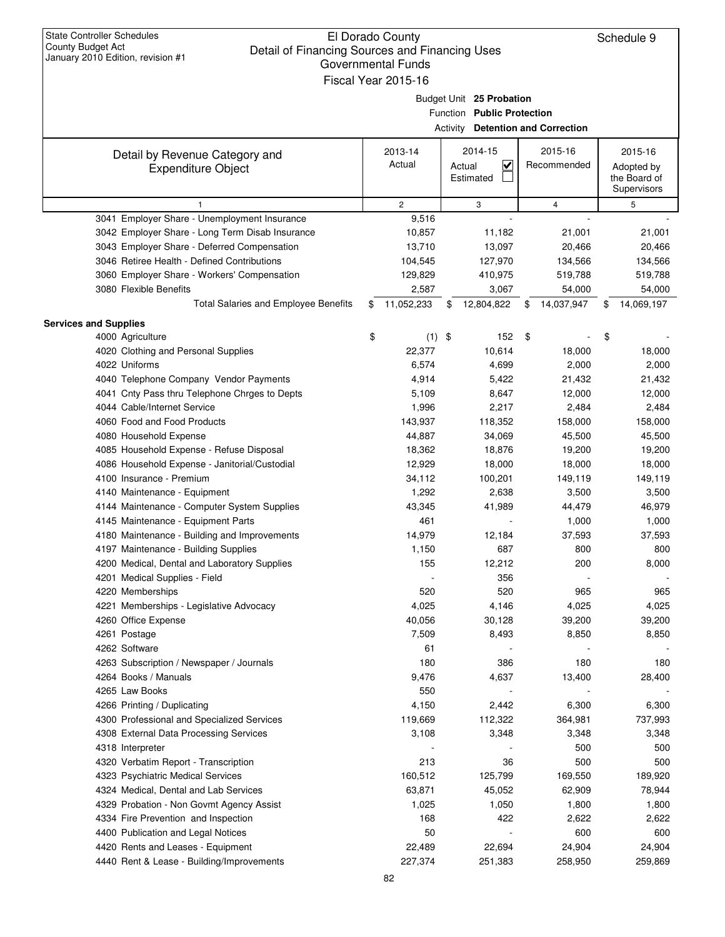## El Dorado County Detail of Financing Sources and Financing Uses Governmental Funds Fiscal Year 2015-16

| January 2010 Edition, revision #1<br>Governmental Funds |    |                |    |                                          |    |             |    |                             |  |  |
|---------------------------------------------------------|----|----------------|----|------------------------------------------|----|-------------|----|-----------------------------|--|--|
| Fiscal Year 2015-16                                     |    |                |    |                                          |    |             |    |                             |  |  |
|                                                         |    |                |    | Budget Unit 25 Probation                 |    |             |    |                             |  |  |
|                                                         |    |                |    | Function Public Protection               |    |             |    |                             |  |  |
|                                                         |    |                |    | <b>Activity Detention and Correction</b> |    |             |    |                             |  |  |
|                                                         |    |                |    |                                          |    |             |    |                             |  |  |
| Detail by Revenue Category and                          |    | 2013-14        |    | 2014-15                                  |    | 2015-16     |    | 2015-16                     |  |  |
| <b>Expenditure Object</b>                               |    | Actual         |    | $\overline{\mathbf{v}}$<br>Actual        |    | Recommended |    | Adopted by                  |  |  |
|                                                         |    |                |    | Estimated                                |    |             |    | the Board of<br>Supervisors |  |  |
| 1                                                       |    | $\overline{c}$ |    | 3                                        |    | 4           |    | 5                           |  |  |
| 3041 Employer Share - Unemployment Insurance            |    | 9,516          |    |                                          |    |             |    |                             |  |  |
| 3042 Employer Share - Long Term Disab Insurance         |    | 10,857         |    | 11,182                                   |    | 21,001      |    | 21,001                      |  |  |
| 3043 Employer Share - Deferred Compensation             |    | 13,710         |    | 13,097                                   |    | 20,466      |    | 20,466                      |  |  |
| 3046 Retiree Health - Defined Contributions             |    | 104,545        |    | 127,970                                  |    | 134,566     |    | 134,566                     |  |  |
| 3060 Employer Share - Workers' Compensation             |    | 129,829        |    | 410,975                                  |    | 519,788     |    | 519,788                     |  |  |
| 3080 Flexible Benefits                                  |    | 2,587          |    | 3,067                                    |    | 54,000      |    | 54,000                      |  |  |
| <b>Total Salaries and Employee Benefits</b>             | \$ | 11,052,233     | \$ | 12,804,822                               | \$ | 14,037,947  | \$ | 14,069,197                  |  |  |
| <b>Services and Supplies</b>                            |    |                |    |                                          |    |             |    |                             |  |  |
| 4000 Agriculture                                        | \$ | $(1)$ \$       |    | 152                                      | \$ |             | \$ |                             |  |  |
| 4020 Clothing and Personal Supplies                     |    | 22,377         |    | 10,614                                   |    | 18,000      |    | 18,000                      |  |  |
| 4022 Uniforms                                           |    | 6,574          |    | 4,699                                    |    | 2,000       |    | 2,000                       |  |  |
| 4040 Telephone Company Vendor Payments                  |    | 4,914          |    | 5,422                                    |    | 21,432      |    | 21,432                      |  |  |
| 4041 Cnty Pass thru Telephone Chrges to Depts           |    | 5,109          |    | 8,647                                    |    | 12,000      |    | 12,000                      |  |  |
| 4044 Cable/Internet Service                             |    | 1,996          |    | 2,217                                    |    | 2,484       |    | 2,484                       |  |  |
| 4060 Food and Food Products                             |    | 143,937        |    | 118,352                                  |    | 158,000     |    | 158,000                     |  |  |
| 4080 Household Expense                                  |    | 44,887         |    | 34,069                                   |    | 45,500      |    | 45,500                      |  |  |
| 4085 Household Expense - Refuse Disposal                |    | 18,362         |    | 18,876                                   |    | 19,200      |    | 19,200                      |  |  |
| 4086 Household Expense - Janitorial/Custodial           |    | 12,929         |    | 18,000                                   |    | 18,000      |    | 18,000                      |  |  |
| 4100 Insurance - Premium                                |    | 34,112         |    | 100,201                                  |    | 149,119     |    | 149,119                     |  |  |
| 4140 Maintenance - Equipment                            |    | 1,292          |    | 2,638                                    |    | 3,500       |    | 3,500                       |  |  |
| 4144 Maintenance - Computer System Supplies             |    | 43,345         |    | 41,989                                   |    | 44,479      |    | 46,979                      |  |  |
| 4145 Maintenance - Equipment Parts                      |    | 461            |    |                                          |    | 1,000       |    | 1,000                       |  |  |
| 4180 Maintenance - Building and Improvements            |    | 14,979         |    | 12,184                                   |    | 37,593      |    | 37,593                      |  |  |
| 4197 Maintenance - Building Supplies                    |    | 1,150          |    | 687                                      |    | 800         |    | 800                         |  |  |
| 4200 Medical, Dental and Laboratory Supplies            |    | 155            |    | 12,212                                   |    | 200         |    | 8,000                       |  |  |
| 4201 Medical Supplies - Field                           |    |                |    | 356                                      |    |             |    |                             |  |  |
| 4220 Memberships                                        |    | 520            |    | 520                                      |    | 965         |    | 965                         |  |  |
| 4221 Memberships - Legislative Advocacy                 |    | 4,025          |    | 4,146                                    |    | 4,025       |    | 4,025                       |  |  |
| 4260 Office Expense                                     |    | 40,056         |    | 30,128                                   |    | 39,200      |    | 39,200                      |  |  |
| 4261 Postage                                            |    | 7,509          |    | 8,493                                    |    | 8,850       |    | 8,850                       |  |  |
| 4262 Software                                           |    | 61             |    |                                          |    |             |    |                             |  |  |
| 4263 Subscription / Newspaper / Journals                |    | 180            |    | 386                                      |    | 180         |    | 180                         |  |  |
| 4264 Books / Manuals                                    |    | 9,476          |    | 4,637                                    |    | 13,400      |    | 28,400                      |  |  |
| 4265 Law Books                                          |    | 550            |    |                                          |    |             |    |                             |  |  |
| 4266 Printing / Duplicating                             |    | 4,150          |    | 2,442                                    |    | 6,300       |    | 6,300                       |  |  |
| 4300 Professional and Specialized Services              |    | 119,669        |    | 112,322                                  |    | 364,981     |    | 737,993                     |  |  |
| 4308 External Data Processing Services                  |    | 3,108          |    | 3,348                                    |    | 3,348       |    | 3,348                       |  |  |
| 4318 Interpreter                                        |    |                |    |                                          |    | 500         |    | 500                         |  |  |
| 4320 Verbatim Report - Transcription                    |    | 213            |    | 36                                       |    | 500         |    | 500                         |  |  |
| 4323 Psychiatric Medical Services                       |    | 160,512        |    | 125,799                                  |    | 169,550     |    | 189,920                     |  |  |
| 4324 Medical, Dental and Lab Services                   |    | 63,871         |    | 45,052                                   |    | 62,909      |    | 78,944                      |  |  |
| 4329 Probation - Non Govmt Agency Assist                |    | 1,025          |    | 1,050                                    |    | 1,800       |    | 1,800                       |  |  |
| 4334 Fire Prevention and Inspection                     |    | 168            |    | 422                                      |    | 2,622       |    | 2,622                       |  |  |
| 4400 Publication and Legal Notices                      |    | 50             |    |                                          |    | 600         |    | 600                         |  |  |
| 4420 Rents and Leases - Equipment                       |    | 22,489         |    | 22,694                                   |    | 24,904      |    | 24,904                      |  |  |
| 4440 Rent & Lease - Building/Improvements               |    | 227,374        |    | 251,383                                  |    | 258,950     |    | 259,869                     |  |  |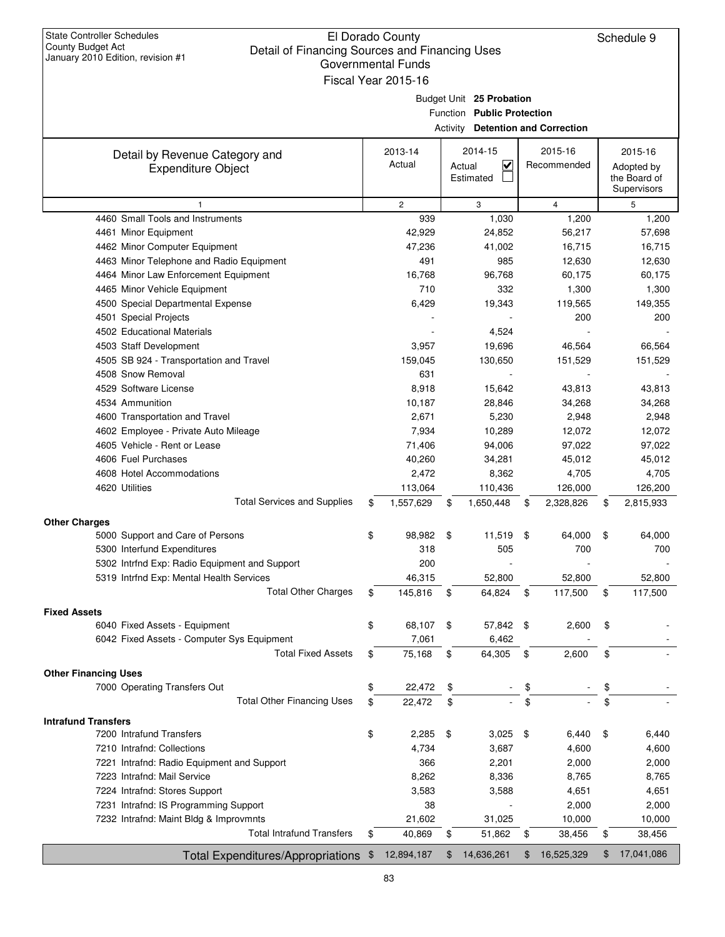| <b>State Controller Schedules</b><br><b>County Budget Act</b><br>Detail of Financing Sources and Financing Uses<br>January 2010 Edition, revision #1 |                                                                                                    |    | El Dorado County<br><b>Governmental Funds</b><br>Fiscal Year 2015-16 |      |                                                           |    |                        |    | Schedule 9                                           |
|------------------------------------------------------------------------------------------------------------------------------------------------------|----------------------------------------------------------------------------------------------------|----|----------------------------------------------------------------------|------|-----------------------------------------------------------|----|------------------------|----|------------------------------------------------------|
|                                                                                                                                                      | Budget Unit 25 Probation<br>Function Public Protection<br><b>Activity Detention and Correction</b> |    |                                                                      |      |                                                           |    |                        |    |                                                      |
| Detail by Revenue Category and<br><b>Expenditure Object</b>                                                                                          |                                                                                                    |    | 2013-14<br>Actual                                                    |      | 2014-15<br>$\overline{\mathbf{v}}$<br>Actual<br>Estimated |    | 2015-16<br>Recommended |    | 2015-16<br>Adopted by<br>the Board of<br>Supervisors |
| 1                                                                                                                                                    |                                                                                                    |    | $\overline{c}$                                                       |      | 3                                                         |    | $\overline{4}$         |    | 5                                                    |
| 4460 Small Tools and Instruments                                                                                                                     |                                                                                                    |    | 939                                                                  |      | 1,030                                                     |    | 1,200                  |    | 1,200                                                |
| 4461 Minor Equipment                                                                                                                                 |                                                                                                    |    | 42,929                                                               |      | 24,852                                                    |    | 56,217                 |    | 57,698                                               |
| 4462 Minor Computer Equipment                                                                                                                        |                                                                                                    |    | 47,236                                                               |      | 41,002                                                    |    | 16,715                 |    | 16,715                                               |
| 4463 Minor Telephone and Radio Equipment                                                                                                             |                                                                                                    |    | 491                                                                  |      | 985                                                       |    | 12,630                 |    | 12,630                                               |
| 4464 Minor Law Enforcement Equipment                                                                                                                 |                                                                                                    |    | 16,768                                                               |      | 96,768                                                    |    | 60,175                 |    | 60,175                                               |
| 4465 Minor Vehicle Equipment                                                                                                                         |                                                                                                    |    | 710                                                                  |      | 332                                                       |    | 1,300                  |    | 1,300                                                |
| 4500 Special Departmental Expense                                                                                                                    |                                                                                                    |    | 6,429                                                                |      | 19,343                                                    |    | 119,565                |    | 149,355                                              |
| 4501 Special Projects                                                                                                                                |                                                                                                    |    |                                                                      |      |                                                           |    | 200                    |    | 200                                                  |
| 4502 Educational Materials                                                                                                                           |                                                                                                    |    |                                                                      |      | 4,524                                                     |    |                        |    |                                                      |
| 4503 Staff Development                                                                                                                               |                                                                                                    |    | 3,957                                                                |      | 19,696                                                    |    | 46,564                 |    | 66,564                                               |
| 4505 SB 924 - Transportation and Travel                                                                                                              |                                                                                                    |    | 159,045                                                              |      | 130,650                                                   |    | 151,529                |    | 151,529                                              |
| 4508 Snow Removal                                                                                                                                    |                                                                                                    |    | 631                                                                  |      |                                                           |    |                        |    |                                                      |
| 4529 Software License<br>4534 Ammunition                                                                                                             |                                                                                                    |    | 8,918<br>10,187                                                      |      | 15,642<br>28,846                                          |    | 43,813<br>34,268       |    | 43,813<br>34,268                                     |
| 4600 Transportation and Travel                                                                                                                       |                                                                                                    |    | 2,671                                                                |      | 5,230                                                     |    | 2,948                  |    | 2,948                                                |
| 4602 Employee - Private Auto Mileage                                                                                                                 |                                                                                                    |    | 7,934                                                                |      | 10,289                                                    |    | 12,072                 |    | 12,072                                               |
| 4605 Vehicle - Rent or Lease                                                                                                                         |                                                                                                    |    | 71,406                                                               |      | 94,006                                                    |    | 97,022                 |    | 97,022                                               |
| 4606 Fuel Purchases                                                                                                                                  |                                                                                                    |    | 40,260                                                               |      | 34,281                                                    |    | 45,012                 |    | 45,012                                               |
| 4608 Hotel Accommodations                                                                                                                            |                                                                                                    |    | 2,472                                                                |      | 8,362                                                     |    | 4,705                  |    | 4,705                                                |
| 4620 Utilities                                                                                                                                       |                                                                                                    |    | 113,064                                                              |      | 110,436                                                   |    | 126,000                |    | 126,200                                              |
| <b>Total Services and Supplies</b>                                                                                                                   |                                                                                                    | \$ | 1,557,629                                                            | \$   | 1,650,448                                                 | \$ | 2,328,826              | \$ | 2,815,933                                            |
|                                                                                                                                                      |                                                                                                    |    |                                                                      |      |                                                           |    |                        |    |                                                      |
| <b>Other Charges</b><br>5000 Support and Care of Persons                                                                                             |                                                                                                    | \$ | 98,982 \$                                                            |      | 11,519                                                    | \$ | 64,000                 | \$ | 64,000                                               |
| 5300 Interfund Expenditures                                                                                                                          |                                                                                                    |    | 318                                                                  |      | 505                                                       |    | 700                    |    | 700                                                  |
| 5302 Intrfnd Exp: Radio Equipment and Support                                                                                                        |                                                                                                    |    | 200                                                                  |      |                                                           |    |                        |    |                                                      |
| 5319 Intrfnd Exp: Mental Health Services                                                                                                             |                                                                                                    |    | 46,315                                                               |      | 52,800                                                    |    | 52,800                 |    | 52,800                                               |
| <b>Total Other Charges</b>                                                                                                                           |                                                                                                    | \$ | 145,816                                                              | \$   | 64,824                                                    | \$ | 117,500                | \$ | 117,500                                              |
|                                                                                                                                                      |                                                                                                    |    |                                                                      |      |                                                           |    |                        |    |                                                      |
| <b>Fixed Assets</b><br>6040 Fixed Assets - Equipment                                                                                                 |                                                                                                    | \$ | 68,107                                                               | - \$ | 57,842 \$                                                 |    | 2,600                  | \$ |                                                      |
| 6042 Fixed Assets - Computer Sys Equipment                                                                                                           |                                                                                                    |    | 7,061                                                                |      | 6,462                                                     |    |                        |    |                                                      |
| <b>Total Fixed Assets</b>                                                                                                                            |                                                                                                    | \$ | 75,168                                                               | \$   | 64,305                                                    | \$ | 2,600                  | \$ |                                                      |
|                                                                                                                                                      |                                                                                                    |    |                                                                      |      |                                                           |    |                        |    |                                                      |
| <b>Other Financing Uses</b>                                                                                                                          |                                                                                                    |    |                                                                      |      |                                                           |    |                        |    |                                                      |
| 7000 Operating Transfers Out                                                                                                                         |                                                                                                    | \$ | 22,472                                                               | \$   |                                                           | \$ |                        | \$ |                                                      |
| <b>Total Other Financing Uses</b>                                                                                                                    |                                                                                                    | \$ | 22,472                                                               | \$   |                                                           | \$ |                        | \$ |                                                      |
| <b>Intrafund Transfers</b>                                                                                                                           |                                                                                                    |    |                                                                      |      |                                                           |    |                        |    |                                                      |
| 7200 Intrafund Transfers                                                                                                                             |                                                                                                    | \$ | 2,285                                                                | -\$  | 3,025                                                     | \$ | 6,440                  | \$ | 6,440                                                |
| 7210 Intrafnd: Collections                                                                                                                           |                                                                                                    |    | 4,734                                                                |      | 3,687                                                     |    | 4,600                  |    | 4,600                                                |
| 7221 Intrafnd: Radio Equipment and Support                                                                                                           |                                                                                                    |    | 366                                                                  |      | 2,201                                                     |    | 2,000                  |    | 2,000                                                |
| 7223 Intrafnd: Mail Service                                                                                                                          |                                                                                                    |    | 8,262                                                                |      | 8,336                                                     |    | 8,765                  |    | 8,765                                                |
| 7224 Intrafnd: Stores Support                                                                                                                        |                                                                                                    |    | 3,583                                                                |      | 3,588                                                     |    | 4,651                  |    | 4,651                                                |
| 7231 Intrafnd: IS Programming Support                                                                                                                |                                                                                                    |    | 38                                                                   |      |                                                           |    | 2,000                  |    | 2,000                                                |
| 7232 Intrafnd: Maint Bldg & Improvmnts                                                                                                               |                                                                                                    |    | 21,602                                                               |      | 31,025                                                    |    | 10,000                 |    | 10,000                                               |
| <b>Total Intrafund Transfers</b>                                                                                                                     |                                                                                                    | \$ | 40,869                                                               | \$   | 51,862                                                    | \$ | 38,456                 | \$ | 38,456                                               |
| Total Expenditures/Appropriations \$                                                                                                                 |                                                                                                    |    | 12,894,187                                                           | \$   | 14,636,261                                                | \$ | 16,525,329             | \$ | 17,041,086                                           |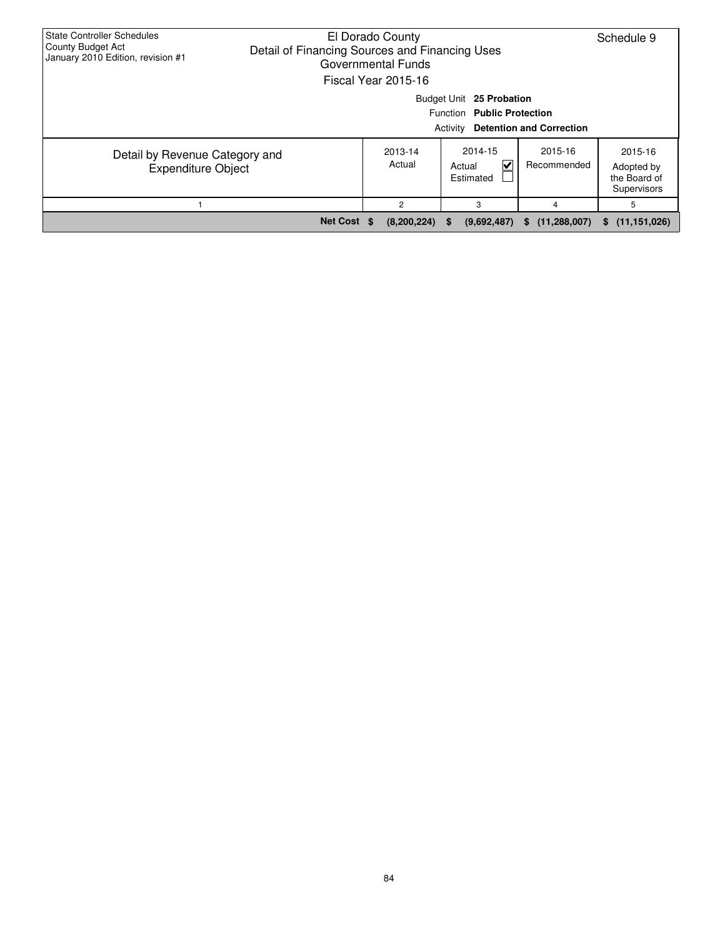| <b>State Controller Schedules</b><br>County Budget Act<br>January 2010 Edition, revision #1 | El Dorado County<br>Detail of Financing Sources and Financing Uses<br>Governmental Funds<br>Fiscal Year 2015-16 |                   | Schedule 9                                                         |                                 |                                                      |
|---------------------------------------------------------------------------------------------|-----------------------------------------------------------------------------------------------------------------|-------------------|--------------------------------------------------------------------|---------------------------------|------------------------------------------------------|
|                                                                                             |                                                                                                                 |                   | Budget Unit 25 Probation<br>Function Public Protection<br>Activity | <b>Detention and Correction</b> |                                                      |
| Detail by Revenue Category and<br><b>Expenditure Object</b>                                 |                                                                                                                 | 2013-14<br>Actual | 2014-15<br>V<br>Actual<br>Estimated                                | 2015-16<br>Recommended          | 2015-16<br>Adopted by<br>the Board of<br>Supervisors |
|                                                                                             |                                                                                                                 | 2                 | 3                                                                  | 4                               | 5                                                    |
|                                                                                             | Net Cost \$                                                                                                     | (8,200,224)       | (9,692,487)<br><b>S</b>                                            | (11, 288, 007)<br>S.            | (11, 151, 026)<br>s.                                 |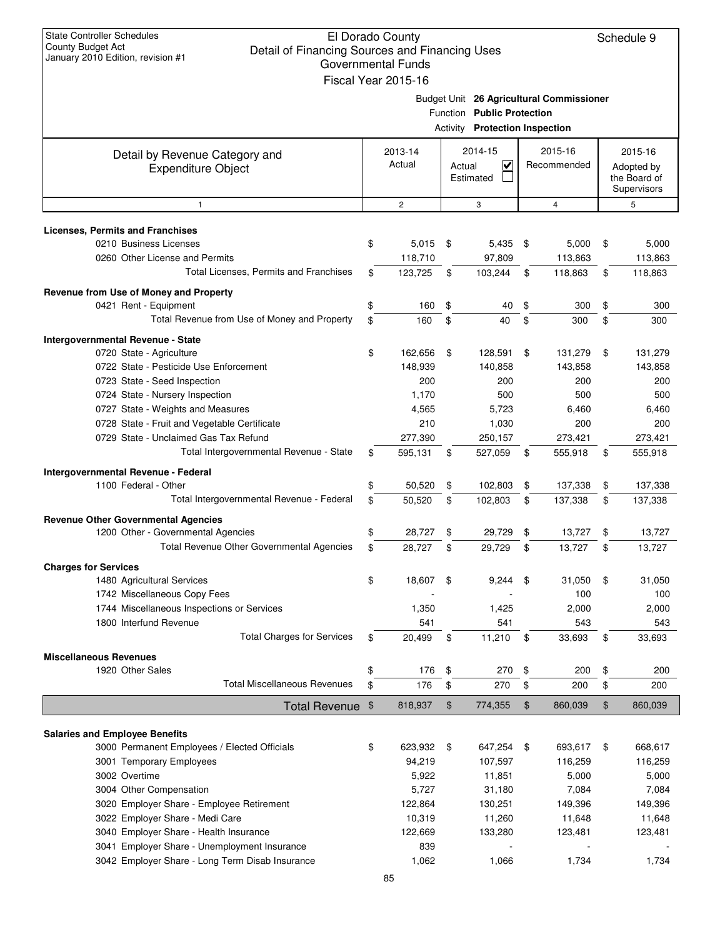| <b>State Controller Schedules</b><br>El Dorado County<br><b>County Budget Act</b><br>Detail of Financing Sources and Financing Uses<br>January 2010 Edition, revision #1<br><b>Governmental Funds</b><br>Fiscal Year 2015-16 |                                                                                                                 |                   |               |                                                 |    |                        |    | Schedule 9                                           |
|------------------------------------------------------------------------------------------------------------------------------------------------------------------------------------------------------------------------------|-----------------------------------------------------------------------------------------------------------------|-------------------|---------------|-------------------------------------------------|----|------------------------|----|------------------------------------------------------|
|                                                                                                                                                                                                                              | Budget Unit 26 Agricultural Commissioner<br>Function Public Protection<br><b>Activity Protection Inspection</b> |                   |               |                                                 |    |                        |    |                                                      |
| Detail by Revenue Category and<br><b>Expenditure Object</b>                                                                                                                                                                  |                                                                                                                 | 2013-14<br>Actual | Actual        | 2014-15<br>$\overline{\mathsf{v}}$<br>Estimated |    | 2015-16<br>Recommended |    | 2015-16<br>Adopted by<br>the Board of<br>Supervisors |
| 1                                                                                                                                                                                                                            |                                                                                                                 | $\overline{c}$    |               | 3                                               |    | $\overline{4}$         |    | 5                                                    |
| <b>Licenses, Permits and Franchises</b>                                                                                                                                                                                      |                                                                                                                 |                   |               |                                                 |    |                        |    |                                                      |
| 0210 Business Licenses                                                                                                                                                                                                       | \$                                                                                                              | 5,015             | \$            | $5,435$ \$                                      |    | 5,000                  | \$ | 5,000                                                |
| 0260 Other License and Permits                                                                                                                                                                                               |                                                                                                                 | 118,710           |               | 97,809                                          |    | 113,863                |    | 113,863                                              |
| Total Licenses, Permits and Franchises                                                                                                                                                                                       | \$                                                                                                              | 123,725           | \$            | 103,244                                         | \$ | 118,863                | \$ | 118,863                                              |
| Revenue from Use of Money and Property                                                                                                                                                                                       |                                                                                                                 |                   |               |                                                 |    |                        |    |                                                      |
| 0421 Rent - Equipment                                                                                                                                                                                                        | \$                                                                                                              | 160               | \$            | 40                                              | \$ | 300                    | \$ | 300                                                  |
| Total Revenue from Use of Money and Property                                                                                                                                                                                 | \$                                                                                                              | 160               | \$            | 40                                              | \$ | 300                    | \$ | 300                                                  |
|                                                                                                                                                                                                                              |                                                                                                                 |                   |               |                                                 |    |                        |    |                                                      |
| Intergovernmental Revenue - State                                                                                                                                                                                            |                                                                                                                 |                   |               |                                                 |    |                        |    |                                                      |
| 0720 State - Agriculture                                                                                                                                                                                                     | \$                                                                                                              | 162,656           | \$            | 128,591                                         | \$ | 131,279                | \$ | 131,279                                              |
| 0722 State - Pesticide Use Enforcement                                                                                                                                                                                       |                                                                                                                 | 148,939           |               | 140,858                                         |    | 143,858                |    | 143,858                                              |
| 0723 State - Seed Inspection                                                                                                                                                                                                 |                                                                                                                 | 200               |               | 200                                             |    | 200                    |    | 200                                                  |
| 0724 State - Nursery Inspection                                                                                                                                                                                              |                                                                                                                 | 1,170             |               | 500                                             |    | 500                    |    | 500                                                  |
| 0727 State - Weights and Measures                                                                                                                                                                                            |                                                                                                                 | 4,565             |               | 5,723                                           |    | 6,460                  |    | 6,460                                                |
| 0728 State - Fruit and Vegetable Certificate                                                                                                                                                                                 |                                                                                                                 | 210               |               | 1,030                                           |    | 200                    |    | 200                                                  |
| 0729 State - Unclaimed Gas Tax Refund                                                                                                                                                                                        |                                                                                                                 | 277,390           |               | 250,157                                         |    | 273,421                |    | 273,421                                              |
| Total Intergovernmental Revenue - State                                                                                                                                                                                      | \$                                                                                                              | 595,131           | \$            | 527,059                                         | \$ | 555,918                | \$ | 555,918                                              |
| Intergovernmental Revenue - Federal                                                                                                                                                                                          |                                                                                                                 |                   |               |                                                 |    |                        |    |                                                      |
| 1100 Federal - Other                                                                                                                                                                                                         | \$                                                                                                              | 50,520            | \$            | 102,803                                         | \$ | 137,338                | \$ | 137,338                                              |
| Total Intergovernmental Revenue - Federal                                                                                                                                                                                    | \$                                                                                                              | 50,520            | \$            | 102,803                                         | \$ | 137,338                | \$ | 137,338                                              |
| <b>Revenue Other Governmental Agencies</b>                                                                                                                                                                                   |                                                                                                                 |                   |               |                                                 |    |                        |    |                                                      |
| 1200 Other - Governmental Agencies                                                                                                                                                                                           | \$                                                                                                              | 28,727            | \$            | 29,729                                          | \$ | 13,727                 | \$ | 13,727                                               |
| Total Revenue Other Governmental Agencies                                                                                                                                                                                    | \$                                                                                                              | 28,727            | \$            | 29,729                                          | \$ | 13,727                 | \$ | 13,727                                               |
| <b>Charges for Services</b>                                                                                                                                                                                                  |                                                                                                                 |                   |               |                                                 |    |                        |    |                                                      |
| 1480 Agricultural Services                                                                                                                                                                                                   | \$                                                                                                              | 18,607            | -\$           | 9,244                                           | \$ | 31,050                 | \$ | 31,050                                               |
| 1742 Miscellaneous Copy Fees                                                                                                                                                                                                 |                                                                                                                 |                   |               |                                                 |    | 100                    |    | 100                                                  |
| 1744 Miscellaneous Inspections or Services                                                                                                                                                                                   |                                                                                                                 | 1,350             |               | 1,425                                           |    | 2,000                  |    | 2,000                                                |
| 1800 Interfund Revenue                                                                                                                                                                                                       |                                                                                                                 | 541               |               | 541                                             |    | 543                    |    | 543                                                  |
| <b>Total Charges for Services</b>                                                                                                                                                                                            | \$                                                                                                              | 20,499            | \$            | 11,210                                          | \$ | 33,693                 | \$ | 33,693                                               |
|                                                                                                                                                                                                                              |                                                                                                                 |                   |               |                                                 |    |                        |    |                                                      |
| <b>Miscellaneous Revenues</b><br>1920 Other Sales                                                                                                                                                                            | \$                                                                                                              | 176               | \$            | 270                                             | \$ | 200                    | \$ | 200                                                  |
| <b>Total Miscellaneous Revenues</b>                                                                                                                                                                                          | \$                                                                                                              | 176               | \$            | 270                                             | \$ | 200                    | \$ | 200                                                  |
|                                                                                                                                                                                                                              |                                                                                                                 |                   |               |                                                 |    |                        |    |                                                      |
| <b>Total Revenue</b>                                                                                                                                                                                                         | \$                                                                                                              | 818,937           | $\frac{1}{2}$ | 774,355                                         | \$ | 860,039                | \$ | 860,039                                              |
|                                                                                                                                                                                                                              |                                                                                                                 |                   |               |                                                 |    |                        |    |                                                      |
| <b>Salaries and Employee Benefits</b>                                                                                                                                                                                        |                                                                                                                 |                   |               |                                                 |    |                        |    |                                                      |
| 3000 Permanent Employees / Elected Officials                                                                                                                                                                                 | \$                                                                                                              | 623,932           | \$            | 647,254                                         | \$ | 693,617                | \$ | 668,617                                              |
| 3001 Temporary Employees                                                                                                                                                                                                     |                                                                                                                 | 94,219            |               | 107,597                                         |    | 116,259                |    | 116,259                                              |
| 3002 Overtime                                                                                                                                                                                                                |                                                                                                                 | 5,922             |               | 11,851                                          |    | 5,000                  |    | 5,000                                                |
| 3004 Other Compensation                                                                                                                                                                                                      |                                                                                                                 | 5,727             |               | 31,180                                          |    | 7,084                  |    | 7,084                                                |
| 3020 Employer Share - Employee Retirement                                                                                                                                                                                    |                                                                                                                 | 122,864           |               | 130,251                                         |    | 149,396                |    | 149,396                                              |
| 3022 Employer Share - Medi Care                                                                                                                                                                                              |                                                                                                                 | 10,319            |               | 11,260                                          |    | 11,648                 |    | 11,648                                               |
| 3040 Employer Share - Health Insurance                                                                                                                                                                                       |                                                                                                                 | 122,669           |               | 133,280                                         |    | 123,481                |    | 123,481                                              |
| 3041 Employer Share - Unemployment Insurance                                                                                                                                                                                 |                                                                                                                 | 839               |               |                                                 |    |                        |    |                                                      |
| 3042 Employer Share - Long Term Disab Insurance                                                                                                                                                                              |                                                                                                                 | 1,062             |               | 1,066                                           |    | 1,734                  |    | 1,734                                                |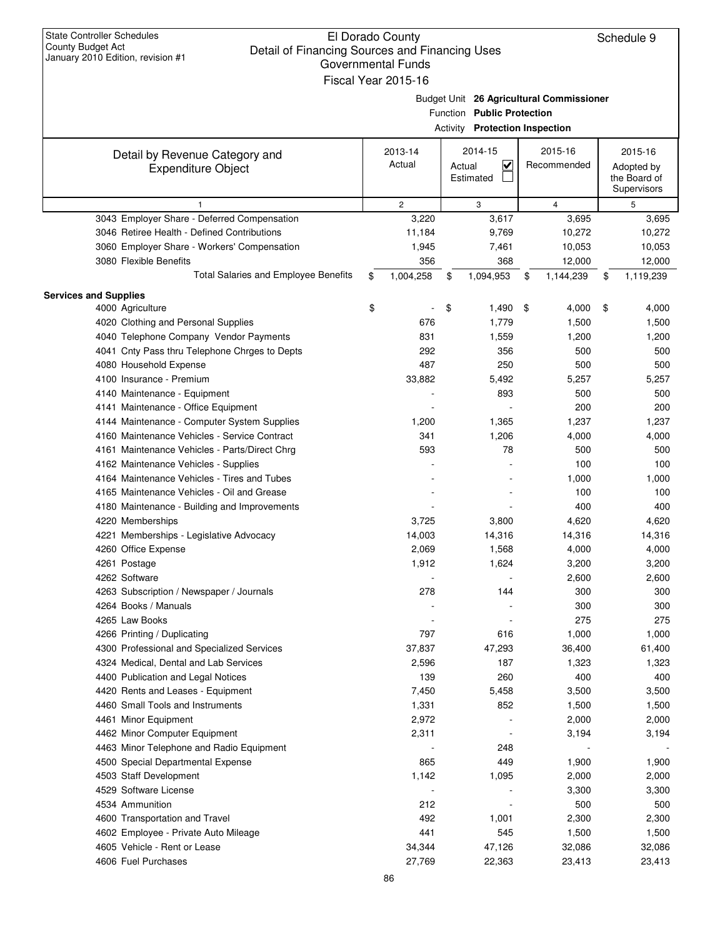| <b>State Controller Schedules</b><br>El Dorado County<br>Schedule 9<br><b>County Budget Act</b><br>Detail of Financing Sources and Financing Uses<br>January 2010 Edition, revision #1<br><b>Governmental Funds</b><br>Fiscal Year 2015-16 |                                                                                                                 |                                                           |           |    |                        |    |                                                      |  |
|--------------------------------------------------------------------------------------------------------------------------------------------------------------------------------------------------------------------------------------------|-----------------------------------------------------------------------------------------------------------------|-----------------------------------------------------------|-----------|----|------------------------|----|------------------------------------------------------|--|
|                                                                                                                                                                                                                                            | Budget Unit 26 Agricultural Commissioner<br>Function Public Protection<br><b>Activity Protection Inspection</b> |                                                           |           |    |                        |    |                                                      |  |
| Detail by Revenue Category and<br><b>Expenditure Object</b>                                                                                                                                                                                | 2013-14<br>Actual                                                                                               | 2014-15<br>$\overline{\mathsf{v}}$<br>Actual<br>Estimated |           |    | 2015-16<br>Recommended |    | 2015-16<br>Adopted by<br>the Board of<br>Supervisors |  |
| 1                                                                                                                                                                                                                                          | $\overline{c}$                                                                                                  |                                                           | 3         |    | 4                      |    | 5                                                    |  |
| 3043 Employer Share - Deferred Compensation                                                                                                                                                                                                | 3,220                                                                                                           |                                                           | 3,617     |    | 3,695                  |    | 3,695                                                |  |
| 3046 Retiree Health - Defined Contributions                                                                                                                                                                                                | 11,184                                                                                                          |                                                           | 9,769     |    | 10,272                 |    | 10,272                                               |  |
| 3060 Employer Share - Workers' Compensation                                                                                                                                                                                                | 1,945                                                                                                           |                                                           | 7,461     |    | 10,053                 |    | 10,053                                               |  |
| 3080 Flexible Benefits                                                                                                                                                                                                                     |                                                                                                                 | 356                                                       | 368       |    | 12,000                 |    | 12,000                                               |  |
| <b>Total Salaries and Employee Benefits</b>                                                                                                                                                                                                | 1,004,258<br>\$                                                                                                 | \$                                                        | 1,094,953 | \$ | 1,144,239              | \$ | 1,119,239                                            |  |
| <b>Services and Supplies</b>                                                                                                                                                                                                               |                                                                                                                 |                                                           |           |    |                        |    |                                                      |  |
| 4000 Agriculture                                                                                                                                                                                                                           | \$                                                                                                              | \$                                                        | 1,490     | \$ | 4,000                  | \$ | 4,000                                                |  |
| 4020 Clothing and Personal Supplies                                                                                                                                                                                                        |                                                                                                                 | 676                                                       | 1,779     |    | 1,500                  |    | 1,500                                                |  |
| 4040 Telephone Company Vendor Payments                                                                                                                                                                                                     |                                                                                                                 | 831                                                       | 1,559     |    | 1,200                  |    | 1,200                                                |  |
| 4041 Cnty Pass thru Telephone Chrges to Depts                                                                                                                                                                                              |                                                                                                                 | 292                                                       | 356       |    | 500                    |    | 500                                                  |  |
| 4080 Household Expense                                                                                                                                                                                                                     |                                                                                                                 | 487                                                       | 250       |    | 500                    |    | 500                                                  |  |
| 4100 Insurance - Premium                                                                                                                                                                                                                   | 33,882                                                                                                          |                                                           | 5,492     |    | 5,257                  |    | 5,257                                                |  |
| 4140 Maintenance - Equipment                                                                                                                                                                                                               |                                                                                                                 |                                                           | 893       |    | 500                    |    | 500                                                  |  |
| 4141 Maintenance - Office Equipment                                                                                                                                                                                                        |                                                                                                                 |                                                           |           |    | 200                    |    | 200                                                  |  |
| 4144 Maintenance - Computer System Supplies                                                                                                                                                                                                | 1,200                                                                                                           |                                                           | 1,365     |    | 1,237                  |    | 1,237                                                |  |
| 4160 Maintenance Vehicles - Service Contract                                                                                                                                                                                               |                                                                                                                 | 341                                                       | 1,206     |    | 4,000                  |    | 4,000                                                |  |
| 4161 Maintenance Vehicles - Parts/Direct Chrg                                                                                                                                                                                              |                                                                                                                 | 593                                                       | 78        |    | 500                    |    | 500                                                  |  |
| 4162 Maintenance Vehicles - Supplies                                                                                                                                                                                                       |                                                                                                                 |                                                           |           |    | 100                    |    | 100                                                  |  |
| 4164 Maintenance Vehicles - Tires and Tubes                                                                                                                                                                                                |                                                                                                                 |                                                           |           |    | 1,000                  |    | 1,000                                                |  |
| 4165 Maintenance Vehicles - Oil and Grease                                                                                                                                                                                                 |                                                                                                                 |                                                           |           |    | 100                    |    | 100                                                  |  |
| 4180 Maintenance - Building and Improvements                                                                                                                                                                                               |                                                                                                                 |                                                           |           |    | 400                    |    | 400                                                  |  |
| 4220 Memberships                                                                                                                                                                                                                           | 3,725                                                                                                           |                                                           | 3,800     |    | 4,620                  |    | 4,620                                                |  |
| 4221 Memberships - Legislative Advocacy                                                                                                                                                                                                    | 14,003                                                                                                          |                                                           | 14,316    |    | 14,316                 |    | 14,316                                               |  |
| 4260 Office Expense                                                                                                                                                                                                                        | 2,069                                                                                                           |                                                           | 1,568     |    | 4,000                  |    | 4,000                                                |  |
| 4261 Postage                                                                                                                                                                                                                               | 1,912                                                                                                           |                                                           | 1,624     |    | 3,200                  |    | 3,200                                                |  |
| 4262 Software                                                                                                                                                                                                                              |                                                                                                                 |                                                           |           |    | 2,600                  |    | 2,600                                                |  |
| 4263 Subscription / Newspaper / Journals                                                                                                                                                                                                   |                                                                                                                 | 278                                                       | 144       |    | 300                    |    | 300                                                  |  |
| 4264 Books / Manuals                                                                                                                                                                                                                       |                                                                                                                 |                                                           |           |    | 300                    |    | 300                                                  |  |
| 4265 Law Books                                                                                                                                                                                                                             |                                                                                                                 |                                                           |           |    | 275                    |    | 275                                                  |  |
| 4266 Printing / Duplicating                                                                                                                                                                                                                |                                                                                                                 | 797                                                       | 616       |    | 1,000                  |    | 1,000                                                |  |
| 4300 Professional and Specialized Services                                                                                                                                                                                                 | 37,837                                                                                                          |                                                           | 47,293    |    | 36,400                 |    | 61,400                                               |  |
| 4324 Medical, Dental and Lab Services                                                                                                                                                                                                      | 2,596                                                                                                           |                                                           | 187       |    | 1,323                  |    | 1,323                                                |  |
| 4400 Publication and Legal Notices                                                                                                                                                                                                         |                                                                                                                 | 139                                                       | 260       |    | 400                    |    | 400                                                  |  |
| 4420 Rents and Leases - Equipment                                                                                                                                                                                                          | 7,450                                                                                                           |                                                           | 5,458     |    | 3,500                  |    | 3,500                                                |  |
| 4460 Small Tools and Instruments                                                                                                                                                                                                           | 1,331                                                                                                           |                                                           | 852       |    | 1,500                  |    | 1,500                                                |  |
| 4461 Minor Equipment                                                                                                                                                                                                                       | 2,972                                                                                                           |                                                           |           |    | 2,000                  |    | 2,000                                                |  |
| 4462 Minor Computer Equipment                                                                                                                                                                                                              | 2,311                                                                                                           |                                                           |           |    | 3,194                  |    | 3,194                                                |  |
| 4463 Minor Telephone and Radio Equipment                                                                                                                                                                                                   |                                                                                                                 |                                                           | 248       |    |                        |    |                                                      |  |
| 4500 Special Departmental Expense                                                                                                                                                                                                          |                                                                                                                 | 865                                                       | 449       |    | 1,900                  |    | 1,900                                                |  |
| 4503 Staff Development                                                                                                                                                                                                                     | 1,142                                                                                                           |                                                           | 1,095     |    | 2,000                  |    | 2,000                                                |  |
| 4529 Software License                                                                                                                                                                                                                      |                                                                                                                 |                                                           |           |    | 3,300                  |    | 3,300                                                |  |
| 4534 Ammunition                                                                                                                                                                                                                            |                                                                                                                 | 212                                                       |           |    | 500                    |    | 500                                                  |  |
| 4600 Transportation and Travel                                                                                                                                                                                                             |                                                                                                                 | 492                                                       | 1,001     |    | 2,300                  |    | 2,300                                                |  |
| 4602 Employee - Private Auto Mileage                                                                                                                                                                                                       |                                                                                                                 | 441                                                       | 545       |    | 1,500                  |    | 1,500                                                |  |
| 4605 Vehicle - Rent or Lease                                                                                                                                                                                                               | 34,344                                                                                                          |                                                           | 47,126    |    | 32,086                 |    | 32,086                                               |  |
| 4606 Fuel Purchases                                                                                                                                                                                                                        | 27,769                                                                                                          |                                                           | 22,363    |    | 23,413                 |    | 23,413                                               |  |
|                                                                                                                                                                                                                                            |                                                                                                                 |                                                           |           |    |                        |    |                                                      |  |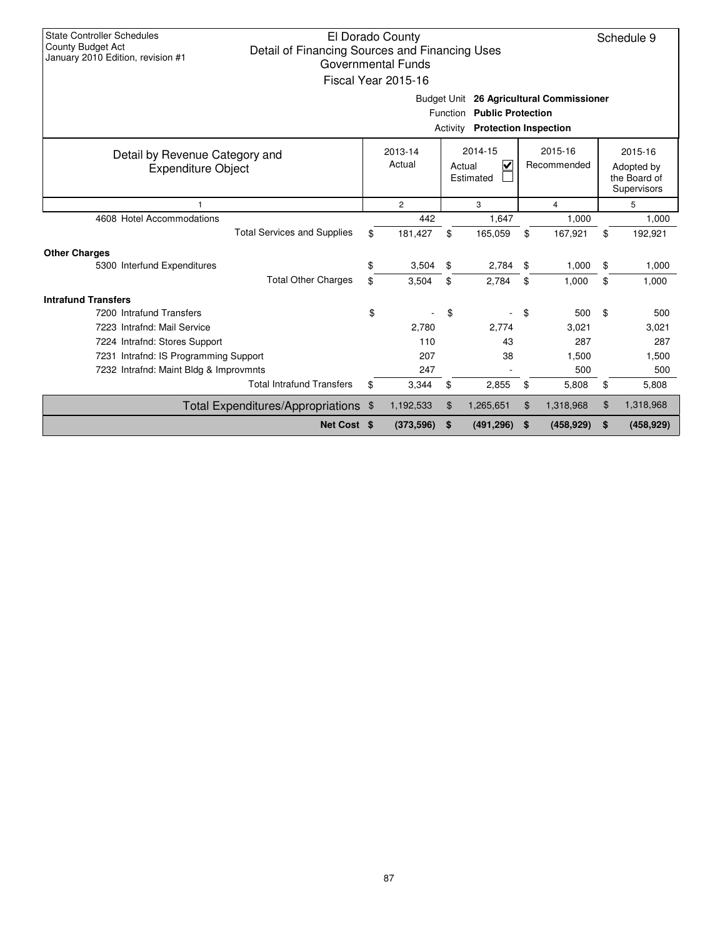| <b>State Controller Schedules</b><br>El Dorado County<br>Schedule 9<br>County Budget Act<br>Detail of Financing Sources and Financing Uses<br>January 2010 Edition, revision #1<br><b>Governmental Funds</b><br>Fiscal Year 2015-16 |                                                                                    |                |    |            |                |            |                                                      |            |  |  |
|-------------------------------------------------------------------------------------------------------------------------------------------------------------------------------------------------------------------------------------|------------------------------------------------------------------------------------|----------------|----|------------|----------------|------------|------------------------------------------------------|------------|--|--|
| Budget Unit 26 Agricultural Commissioner<br>Function Public Protection<br><b>Activity Protection Inspection</b>                                                                                                                     |                                                                                    |                |    |            |                |            |                                                      |            |  |  |
| Detail by Revenue Category and<br><b>Expenditure Object</b>                                                                                                                                                                         | 2014-15<br>2015-16<br>2013-14<br>Actual<br>V<br>Recommended<br>Actual<br>Estimated |                |    |            |                |            | 2015-16<br>Adopted by<br>the Board of<br>Supervisors |            |  |  |
| $\overline{1}$                                                                                                                                                                                                                      |                                                                                    | $\overline{2}$ |    | 3          | $\overline{4}$ |            |                                                      | 5          |  |  |
| 4608 Hotel Accommodations                                                                                                                                                                                                           |                                                                                    | 442            |    | 1,647      |                | 1,000      |                                                      | 1,000      |  |  |
| <b>Total Services and Supplies</b>                                                                                                                                                                                                  | \$                                                                                 | 181,427        | \$ | 165,059    | \$             | 167,921    | \$                                                   | 192,921    |  |  |
| <b>Other Charges</b>                                                                                                                                                                                                                |                                                                                    |                |    |            |                |            |                                                      |            |  |  |
| 5300 Interfund Expenditures                                                                                                                                                                                                         | \$                                                                                 | 3,504          | \$ | 2,784      | \$             | 1,000      | \$                                                   | 1,000      |  |  |
| <b>Total Other Charges</b>                                                                                                                                                                                                          | \$                                                                                 | 3,504          | \$ | 2.784      | \$             | 1.000      | \$                                                   | 1,000      |  |  |
| <b>Intrafund Transfers</b>                                                                                                                                                                                                          |                                                                                    |                |    |            |                |            |                                                      |            |  |  |
| 7200 Intrafund Transfers                                                                                                                                                                                                            | \$                                                                                 |                | \$ |            | \$             | 500        | \$                                                   | 500        |  |  |
| 7223 Intrafnd: Mail Service                                                                                                                                                                                                         |                                                                                    | 2,780          |    | 2,774      |                | 3,021      |                                                      | 3,021      |  |  |
| 7224 Intrafnd: Stores Support                                                                                                                                                                                                       |                                                                                    | 110            |    | 43         |                | 287        |                                                      | 287        |  |  |
| 7231 Intrafnd: IS Programming Support                                                                                                                                                                                               |                                                                                    | 207            |    | 38         |                | 1,500      |                                                      | 1,500      |  |  |
| 7232 Intrafnd: Maint Bldg & Improvmnts                                                                                                                                                                                              | 247<br>500                                                                         |                |    |            |                |            | 500                                                  |            |  |  |
| <b>Total Intrafund Transfers</b>                                                                                                                                                                                                    | \$                                                                                 | 3,344          | \$ | 2,855      | \$             | 5,808      | \$                                                   | 5,808      |  |  |
| Total Expenditures/Appropriations \$                                                                                                                                                                                                |                                                                                    | 1,192,533      | \$ | 1,265,651  | \$             | 1,318,968  | \$                                                   | 1,318,968  |  |  |
| Net Cost \$                                                                                                                                                                                                                         |                                                                                    | (373,596)      | \$ | (491, 296) | \$             | (458, 929) | \$                                                   | (458, 929) |  |  |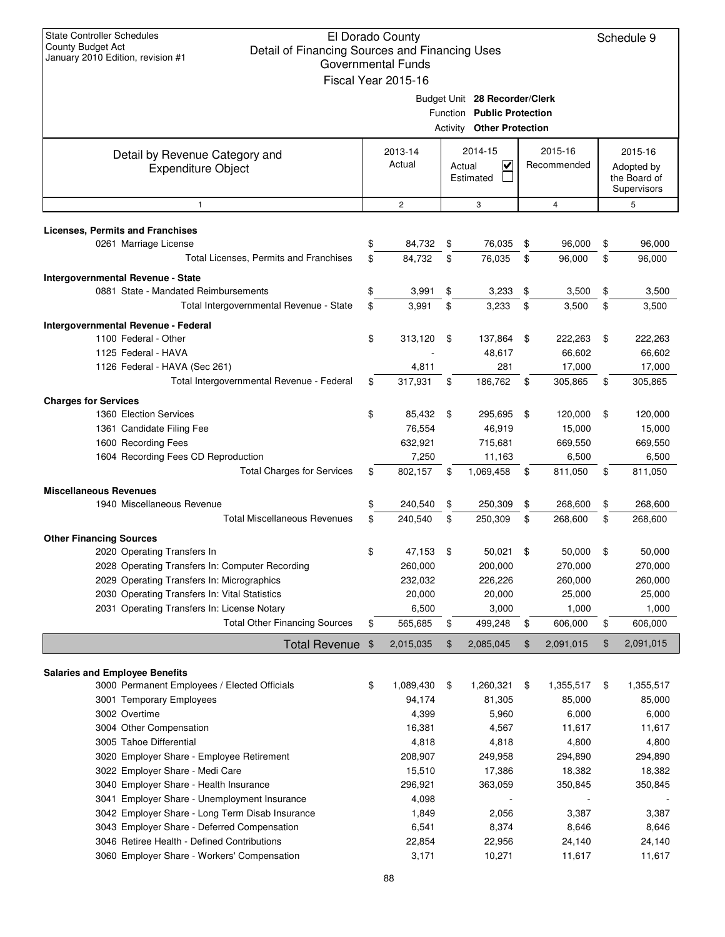| <b>State Controller Schedules</b><br>El Dorado County<br>County Budget Act<br>Detail of Financing Sources and Financing Uses<br>January 2010 Edition, revision #1<br><b>Governmental Funds</b><br>Fiscal Year 2015-16 |                                                                                                 |                     |    |                                                      |                |                   |    | Schedule 9        |
|-----------------------------------------------------------------------------------------------------------------------------------------------------------------------------------------------------------------------|-------------------------------------------------------------------------------------------------|---------------------|----|------------------------------------------------------|----------------|-------------------|----|-------------------|
|                                                                                                                                                                                                                       | Budget Unit 28 Recorder/Clerk<br>Function Public Protection<br><b>Activity Other Protection</b> |                     |    |                                                      |                |                   |    |                   |
| Detail by Revenue Category and<br><b>Expenditure Object</b>                                                                                                                                                           | 2015-16<br>2014-15<br>2013-14<br>Actual<br>Recommended<br>V<br>Actual<br>Estimated              |                     |    | 2015-16<br>Adopted by<br>the Board of<br>Supervisors |                |                   |    |                   |
| 1                                                                                                                                                                                                                     |                                                                                                 | $\mathbf{2}$        |    | 3                                                    |                | $\overline{4}$    |    | 5                 |
| <b>Licenses, Permits and Franchises</b>                                                                                                                                                                               |                                                                                                 |                     |    |                                                      |                |                   |    |                   |
| 0261 Marriage License                                                                                                                                                                                                 |                                                                                                 | 84,732              | \$ | 76,035                                               | \$             | 96,000            | \$ | 96,000            |
| Total Licenses, Permits and Franchises                                                                                                                                                                                | \$                                                                                              | 84,732              | \$ | 76,035                                               | \$             | 96,000            | \$ | 96,000            |
| Intergovernmental Revenue - State                                                                                                                                                                                     |                                                                                                 |                     |    |                                                      |                |                   |    |                   |
| 0881 State - Mandated Reimbursements                                                                                                                                                                                  | \$                                                                                              | 3,991               | \$ | 3,233                                                | \$             | 3,500             | \$ | 3,500             |
| Total Intergovernmental Revenue - State                                                                                                                                                                               | \$                                                                                              | 3,991               | \$ | 3,233                                                | \$             | 3,500             | \$ | 3,500             |
| Intergovernmental Revenue - Federal                                                                                                                                                                                   |                                                                                                 |                     |    |                                                      |                |                   |    |                   |
| 1100 Federal - Other                                                                                                                                                                                                  | \$                                                                                              | 313,120             | \$ | 137,864                                              | -\$            | 222,263           | \$ | 222,263           |
| 1125 Federal - HAVA                                                                                                                                                                                                   |                                                                                                 |                     |    | 48,617                                               |                | 66,602            |    | 66,602            |
| 1126 Federal - HAVA (Sec 261)<br>Total Intergovernmental Revenue - Federal                                                                                                                                            |                                                                                                 | 4,811               |    | 281<br>186,762                                       |                | 17,000            |    | 17,000            |
|                                                                                                                                                                                                                       | \$                                                                                              | 317,931             | \$ |                                                      | \$             | 305,865           | \$ | 305,865           |
| <b>Charges for Services</b>                                                                                                                                                                                           |                                                                                                 |                     |    |                                                      |                |                   |    |                   |
| 1360 Election Services<br>1361 Candidate Filing Fee                                                                                                                                                                   | \$                                                                                              | 85,432 \$<br>76,554 |    | 295,695<br>46,919                                    | \$             | 120,000<br>15,000 | \$ | 120,000<br>15,000 |
| 1600 Recording Fees                                                                                                                                                                                                   |                                                                                                 | 632,921             |    | 715,681                                              |                | 669,550           |    | 669,550           |
| 1604 Recording Fees CD Reproduction                                                                                                                                                                                   |                                                                                                 | 7,250               |    | 11,163                                               |                | 6,500             |    | 6,500             |
| <b>Total Charges for Services</b>                                                                                                                                                                                     | \$                                                                                              | 802,157             | \$ | 1,069,458                                            | \$             | 811,050           | \$ | 811,050           |
| <b>Miscellaneous Revenues</b>                                                                                                                                                                                         |                                                                                                 |                     |    |                                                      |                |                   |    |                   |
| 1940 Miscellaneous Revenue                                                                                                                                                                                            | \$                                                                                              | 240,540             | \$ | 250,309                                              | \$             | 268,600           | \$ | 268,600           |
| <b>Total Miscellaneous Revenues</b>                                                                                                                                                                                   | \$                                                                                              | 240,540             | \$ | 250,309                                              | \$             | 268,600           | \$ | 268,600           |
| <b>Other Financing Sources</b>                                                                                                                                                                                        |                                                                                                 |                     |    |                                                      |                |                   |    |                   |
| 2020 Operating Transfers In                                                                                                                                                                                           |                                                                                                 | 47,153              |    | 50,021                                               | \$             | 50,000            |    | 50,000            |
| 2028 Operating Transfers In: Computer Recording                                                                                                                                                                       |                                                                                                 | 260,000             |    | 200,000                                              |                | 270,000           |    | 270,000           |
| 2029 Operating Transfers In: Micrographics                                                                                                                                                                            |                                                                                                 | 232,032             |    | 226,226                                              |                | 260,000           |    | 260,000           |
| 2030 Operating Transfers In: Vital Statistics                                                                                                                                                                         |                                                                                                 | 20,000              |    | 20,000                                               |                | 25,000            |    | 25,000            |
| 2031 Operating Transfers In: License Notary                                                                                                                                                                           |                                                                                                 | 6,500               |    | 3,000                                                |                | 1,000             |    | 1,000             |
| <b>Total Other Financing Sources</b>                                                                                                                                                                                  | \$                                                                                              | 565,685             | \$ | 499,248                                              | \$             | 606,000           | \$ | 606,000           |
| Total Revenue \$                                                                                                                                                                                                      |                                                                                                 | 2,015,035           | \$ | 2,085,045                                            | $\mathfrak{F}$ | 2,091,015         | \$ | 2,091,015         |
| <b>Salaries and Employee Benefits</b>                                                                                                                                                                                 |                                                                                                 |                     |    |                                                      |                |                   |    |                   |
| 3000 Permanent Employees / Elected Officials                                                                                                                                                                          | \$                                                                                              | 1,089,430           | \$ | 1,260,321                                            | \$             | 1,355,517         | \$ | 1,355,517         |
| 3001 Temporary Employees                                                                                                                                                                                              |                                                                                                 | 94,174              |    | 81,305                                               |                | 85,000            |    | 85,000            |
| 3002 Overtime                                                                                                                                                                                                         |                                                                                                 | 4,399               |    | 5,960                                                |                | 6,000             |    | 6,000             |
| 3004 Other Compensation                                                                                                                                                                                               |                                                                                                 | 16,381              |    | 4,567                                                |                | 11,617            |    | 11,617            |
| 3005 Tahoe Differential                                                                                                                                                                                               |                                                                                                 | 4,818               |    | 4,818                                                |                | 4,800             |    | 4,800             |
| 3020 Employer Share - Employee Retirement                                                                                                                                                                             |                                                                                                 | 208,907             |    | 249,958                                              |                | 294,890           |    | 294,890           |
| 3022 Employer Share - Medi Care                                                                                                                                                                                       |                                                                                                 | 15,510              |    | 17,386                                               |                | 18,382            |    | 18,382            |
| 3040 Employer Share - Health Insurance<br>3041 Employer Share - Unemployment Insurance                                                                                                                                |                                                                                                 | 296,921<br>4,098    |    | 363,059                                              |                | 350,845           |    | 350,845           |
| 3042 Employer Share - Long Term Disab Insurance                                                                                                                                                                       |                                                                                                 | 1,849               |    | 2,056                                                |                | 3,387             |    | 3,387             |
| 3043 Employer Share - Deferred Compensation                                                                                                                                                                           |                                                                                                 | 6,541               |    | 8,374                                                |                | 8,646             |    | 8,646             |
| 3046 Retiree Health - Defined Contributions                                                                                                                                                                           |                                                                                                 | 22,854              |    | 22,956                                               |                | 24,140            |    | 24,140            |
| 3060 Employer Share - Workers' Compensation                                                                                                                                                                           |                                                                                                 | 3,171               |    | 10,271                                               |                | 11,617            |    | 11,617            |
|                                                                                                                                                                                                                       |                                                                                                 |                     |    |                                                      |                |                   |    |                   |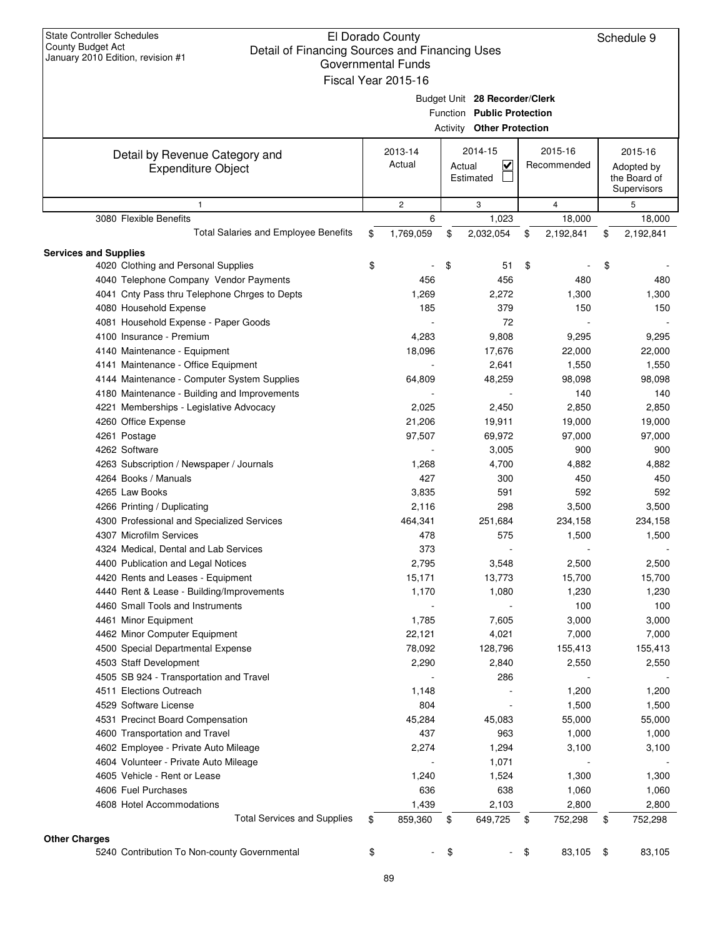| <b>State Controller Schedules</b><br>El Dorado County<br>County Budget Act<br>Detail of Financing Sources and Financing Uses<br>January 2010 Edition, revision #1<br><b>Governmental Funds</b><br>Fiscal Year 2015-16 |                                                                                           |                |                                                                                                 |                                                      |    |                | Schedule 9      |
|-----------------------------------------------------------------------------------------------------------------------------------------------------------------------------------------------------------------------|-------------------------------------------------------------------------------------------|----------------|-------------------------------------------------------------------------------------------------|------------------------------------------------------|----|----------------|-----------------|
|                                                                                                                                                                                                                       |                                                                                           |                | Budget Unit 28 Recorder/Clerk<br>Function Public Protection<br><b>Activity Other Protection</b> |                                                      |    |                |                 |
| Detail by Revenue Category and<br><b>Expenditure Object</b>                                                                                                                                                           | 2015-16<br>2013-14<br>2014-15<br>Actual<br>$\overline{\mathbf{v}}$<br>Actual<br>Estimated |                | Recommended                                                                                     | 2015-16<br>Adopted by<br>the Board of<br>Supervisors |    |                |                 |
| 1                                                                                                                                                                                                                     |                                                                                           | $\overline{c}$ |                                                                                                 | 3                                                    |    | $\overline{4}$ | 5               |
| 3080 Flexible Benefits                                                                                                                                                                                                |                                                                                           | 6              |                                                                                                 | 1,023                                                |    | 18,000         | 18,000          |
| Total Salaries and Employee Benefits                                                                                                                                                                                  | \$                                                                                        | 1,769,059      | \$                                                                                              | 2,032,054                                            | \$ | 2,192,841      | \$<br>2,192,841 |
| <b>Services and Supplies</b>                                                                                                                                                                                          |                                                                                           |                |                                                                                                 |                                                      |    |                |                 |
| 4020 Clothing and Personal Supplies                                                                                                                                                                                   | \$                                                                                        |                | \$                                                                                              | 51                                                   | \$ |                | \$              |
| 4040 Telephone Company Vendor Payments                                                                                                                                                                                |                                                                                           | 456            |                                                                                                 | 456                                                  |    | 480            | 480             |
| 4041 Cnty Pass thru Telephone Chrges to Depts                                                                                                                                                                         |                                                                                           | 1,269          |                                                                                                 | 2,272                                                |    | 1,300          | 1,300           |
| 4080 Household Expense                                                                                                                                                                                                |                                                                                           | 185            |                                                                                                 | 379                                                  |    | 150            | 150             |
| 4081 Household Expense - Paper Goods                                                                                                                                                                                  |                                                                                           |                |                                                                                                 | 72                                                   |    |                |                 |
| 4100 Insurance - Premium                                                                                                                                                                                              |                                                                                           | 4,283          |                                                                                                 | 9,808                                                |    | 9,295          | 9,295           |
| 4140 Maintenance - Equipment                                                                                                                                                                                          |                                                                                           | 18,096         |                                                                                                 | 17,676                                               |    | 22,000         | 22,000          |
| 4141 Maintenance - Office Equipment                                                                                                                                                                                   |                                                                                           |                |                                                                                                 | 2,641                                                |    | 1,550          | 1,550           |
| 4144 Maintenance - Computer System Supplies                                                                                                                                                                           |                                                                                           | 64,809         |                                                                                                 | 48,259                                               |    | 98,098         | 98,098          |
| 4180 Maintenance - Building and Improvements                                                                                                                                                                          |                                                                                           |                |                                                                                                 |                                                      |    | 140            | 140             |
| 4221 Memberships - Legislative Advocacy                                                                                                                                                                               |                                                                                           | 2,025          |                                                                                                 | 2,450                                                |    | 2,850          | 2,850           |
| 4260 Office Expense                                                                                                                                                                                                   |                                                                                           | 21,206         |                                                                                                 | 19,911                                               |    | 19,000         | 19,000          |
| 4261 Postage                                                                                                                                                                                                          |                                                                                           | 97,507         |                                                                                                 | 69,972                                               |    | 97,000         | 97,000          |
| 4262 Software                                                                                                                                                                                                         |                                                                                           |                |                                                                                                 | 3,005                                                |    | 900            | 900             |
| 4263 Subscription / Newspaper / Journals                                                                                                                                                                              |                                                                                           | 1,268          |                                                                                                 | 4,700                                                |    | 4,882          | 4,882           |
| 4264 Books / Manuals                                                                                                                                                                                                  |                                                                                           | 427            |                                                                                                 | 300                                                  |    | 450            | 450             |
| 4265 Law Books                                                                                                                                                                                                        |                                                                                           | 3,835          |                                                                                                 | 591                                                  |    | 592            | 592             |
| 4266 Printing / Duplicating                                                                                                                                                                                           |                                                                                           | 2,116          |                                                                                                 | 298                                                  |    | 3,500          | 3,500           |
| 4300 Professional and Specialized Services                                                                                                                                                                            |                                                                                           | 464,341        |                                                                                                 | 251,684                                              |    | 234,158        | 234,158         |
| 4307 Microfilm Services                                                                                                                                                                                               |                                                                                           | 478            |                                                                                                 | 575                                                  |    | 1,500          | 1,500           |
| 4324 Medical, Dental and Lab Services                                                                                                                                                                                 |                                                                                           | 373            |                                                                                                 |                                                      |    |                |                 |
| 4400 Publication and Legal Notices                                                                                                                                                                                    |                                                                                           | 2,795          |                                                                                                 | 3,548                                                |    | 2,500          | 2,500           |
| 4420 Rents and Leases - Equipment                                                                                                                                                                                     |                                                                                           | 15,171         |                                                                                                 | 13,773                                               |    | 15,700         | 15,700          |
| 4440 Rent & Lease - Building/Improvements                                                                                                                                                                             |                                                                                           | 1,170          |                                                                                                 | 1,080                                                |    | 1,230          | 1,230           |
| 4460 Small Tools and Instruments                                                                                                                                                                                      |                                                                                           |                |                                                                                                 |                                                      |    | 100            | 100             |
| 4461 Minor Equipment                                                                                                                                                                                                  |                                                                                           | 1,785          |                                                                                                 | 7,605                                                |    | 3,000          | 3,000           |
| 4462 Minor Computer Equipment                                                                                                                                                                                         |                                                                                           | 22,121         |                                                                                                 | 4,021                                                |    | 7,000          | 7,000           |
| 4500 Special Departmental Expense                                                                                                                                                                                     |                                                                                           | 78,092         |                                                                                                 | 128,796                                              |    | 155,413        | 155,413         |
| 4503 Staff Development                                                                                                                                                                                                |                                                                                           | 2,290          |                                                                                                 | 2,840                                                |    | 2,550          | 2,550           |
| 4505 SB 924 - Transportation and Travel                                                                                                                                                                               |                                                                                           |                |                                                                                                 | 286                                                  |    |                |                 |
| 4511 Elections Outreach                                                                                                                                                                                               |                                                                                           |                |                                                                                                 |                                                      |    | 1,200          |                 |
|                                                                                                                                                                                                                       |                                                                                           | 1,148          |                                                                                                 |                                                      |    |                | 1,200           |
| 4529 Software License                                                                                                                                                                                                 |                                                                                           | 804            |                                                                                                 |                                                      |    | 1,500          | 1,500           |
| 4531 Precinct Board Compensation                                                                                                                                                                                      |                                                                                           | 45,284         |                                                                                                 | 45,083                                               |    | 55,000         | 55,000          |
| 4600 Transportation and Travel                                                                                                                                                                                        |                                                                                           | 437            |                                                                                                 | 963                                                  |    | 1,000          | 1,000           |
| 4602 Employee - Private Auto Mileage                                                                                                                                                                                  |                                                                                           | 2,274          |                                                                                                 | 1,294                                                |    | 3,100          | 3,100           |
| 4604 Volunteer - Private Auto Mileage                                                                                                                                                                                 |                                                                                           |                |                                                                                                 | 1,071                                                |    |                |                 |
| 4605 Vehicle - Rent or Lease                                                                                                                                                                                          |                                                                                           | 1,240          |                                                                                                 | 1,524                                                |    | 1,300          | 1,300           |
| 4606 Fuel Purchases                                                                                                                                                                                                   |                                                                                           | 636            |                                                                                                 | 638                                                  |    | 1,060          | 1,060           |
| 4608 Hotel Accommodations                                                                                                                                                                                             |                                                                                           | 1,439          |                                                                                                 | 2,103                                                |    | 2,800          | 2,800           |
| <b>Total Services and Supplies</b>                                                                                                                                                                                    | \$                                                                                        | 859,360        | \$                                                                                              | 649,725                                              | \$ | 752,298        | \$<br>752,298   |
| <b>Other Charges</b>                                                                                                                                                                                                  |                                                                                           |                |                                                                                                 |                                                      |    |                |                 |
| 5240 Contribution To Non-county Governmental                                                                                                                                                                          | \$                                                                                        |                | \$                                                                                              |                                                      | \$ | 83,105         | \$<br>83,105    |